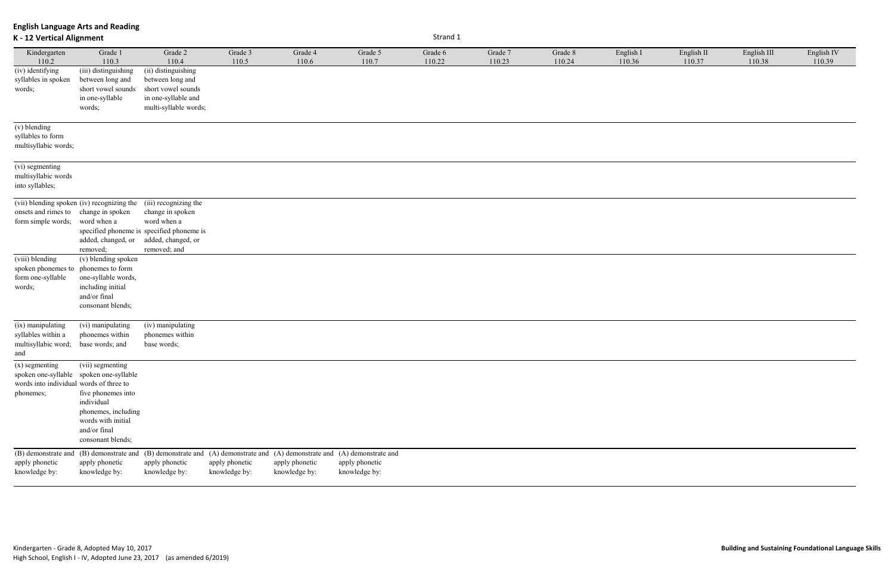| English $\Pi$ | English III | English IV |
|---------------|-------------|------------|
| 110.37        | 110.38      | 110.39     |
|               |             |            |
|               |             |            |
|               |             |            |
|               |             |            |
|               |             |            |
|               |             |            |
|               |             |            |
|               |             |            |
|               |             |            |
|               |             |            |
|               |             |            |
|               |             |            |
|               |             |            |
|               |             |            |
|               |             |            |
|               |             |            |
|               |             |            |
|               |             |            |
|               |             |            |
|               |             |            |
|               |             |            |
|               |             |            |
|               |             |            |
|               |             |            |
|               |             |            |
|               |             |            |
|               |             |            |
|               |             |            |
|               |             |            |
|               |             |            |
|               |             |            |
|               |             |            |
|               |             |            |
|               |             |            |
|               |             |            |
|               |             |            |
|               |             |            |
|               |             |            |
|               |             |            |
|               |             |            |
|               |             |            |
|               |             |            |
|               |             |            |
|               |             |            |
|               |             |            |
|               |             |            |
|               |             |            |
|               |             |            |
|               |             |            |
|               |             |            |
|               |             |            |
|               |             |            |
|               |             |            |

**English Language Arts and Reading K - 12 Vertical Alignment** Strand 1 Kindergarten 110.2 Grade 1 110.3 Grade 2 110.4 Grade 3 110.5 Grade 4 110.6 Grade 5 110.7 Grade 6 110.22 Grade 7 110.23 Grade 8 110.24 English I 110.36 (iv) identifying syllables in spoken words; (iii) distinguishing between long and short vowel sounds in one-syllable words; (ii) distinguishing between long and short vowel sounds in one-syllable and multi-syllable words; (v) blending syllables to form multisyllabic words; (vi) segmenting multisyllabic words into syllables; (vii) blending spoken (iv) recognizing the (iii) recognizing the onsets and rimes to change in spoken form simple words; word when a specified phoneme is specified phoneme is added, changed, or added, changed, or removed; change in spoken word when a removed; and (viii) blending spoken phonemes to form one-syllable words; (v) blending spoken phonemes to form one-syllable words, including initial and/or final consonant blends; (ix) manipulating syllables within a multisyllabic word; and (vi) manipulating phonemes within base words; and (iv) manipulating phonemes within base words; (x) segmenting spoken one-syllable words into individual words of three to phonemes; (vii) segmenting spoken one-syllable five phonemes into individual phonemes, including words with initial and/or final consonant blends; (B) demonstrate and apply phonetic knowledge by: (B) demonstrate and (B) demonstrate and (A) demonstrate and apply phonetic knowledge by: apply phonetic knowledge by: apply phonetic knowledge by: (A) demonstrate and (A) demonstrate and apply phonetic knowledge by: apply phonetic knowledge by: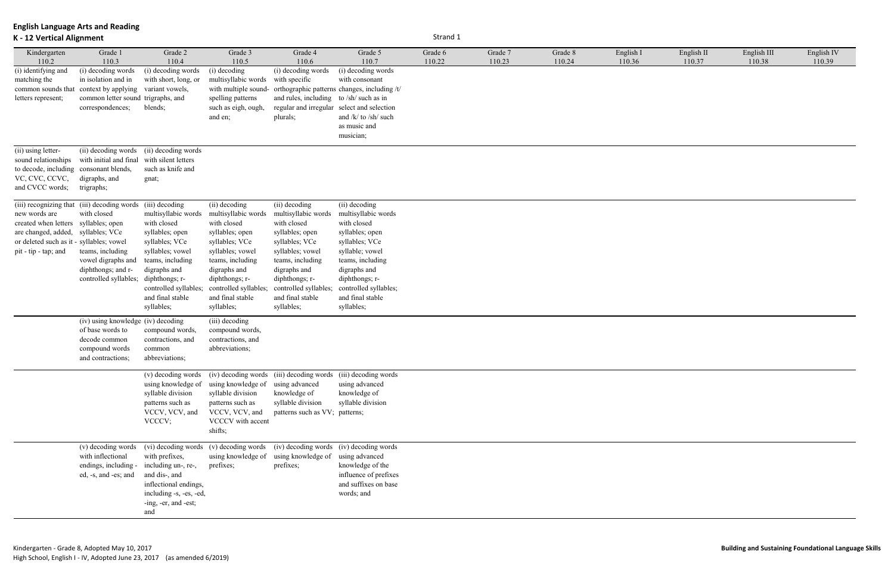## **K - 12 Vertical Alignment** Strand 1

| English II | English III | English IV |
|------------|-------------|------------|
| 110.37     | 110.38      | 110.39     |
|            |             |            |

| Kindergarten                             | Grade 1                                                    | Grade 2                 | Grade 3               | Grade 4                                                                          | Grade 5                                      | Grade 6 | Grade 7 | Grade 8 | English I |
|------------------------------------------|------------------------------------------------------------|-------------------------|-----------------------|----------------------------------------------------------------------------------|----------------------------------------------|---------|---------|---------|-----------|
| 110.2                                    | 110.3                                                      | 110.4                   | 110.5                 | 110.6                                                                            | 110.7                                        | 110.22  | 110.23  | 110.24  | 110.36    |
| (i) identifying and                      | (i) decoding words                                         | (i) decoding words      | (i) decoding          | (i) decoding words                                                               | (i) decoding words                           |         |         |         |           |
| matching the                             | in isolation and in                                        | with short, long, or    | multisyllabic words   | with specific                                                                    | with consonant                               |         |         |         |           |
|                                          | common sounds that context by applying                     | variant vowels,         | with multiple sound-  |                                                                                  | orthographic patterns changes, including /t/ |         |         |         |           |
| letters represent;                       | common letter sound trigraphs, and                         |                         | spelling patterns     | and rules, including to /sh/ such as in                                          |                                              |         |         |         |           |
|                                          | correspondences;                                           | blends;                 | such as eigh, ough,   | regular and irregular select and selection                                       |                                              |         |         |         |           |
|                                          |                                                            |                         | and en;               | plurals;                                                                         | and /k/ to /sh/ such                         |         |         |         |           |
|                                          |                                                            |                         |                       |                                                                                  | as music and                                 |         |         |         |           |
|                                          |                                                            |                         |                       |                                                                                  | musician;                                    |         |         |         |           |
|                                          |                                                            |                         |                       |                                                                                  |                                              |         |         |         |           |
| (ii) using letter-                       | (ii) decoding words                                        | (ii) decoding words     |                       |                                                                                  |                                              |         |         |         |           |
| sound relationships                      | with initial and final                                     | with silent letters     |                       |                                                                                  |                                              |         |         |         |           |
| to decode, including consonant blends,   |                                                            | such as knife and       |                       |                                                                                  |                                              |         |         |         |           |
| VC, CVC, CCVC,                           | digraphs, and                                              | gnat;                   |                       |                                                                                  |                                              |         |         |         |           |
| and CVCC words;                          | trigraphs;                                                 |                         |                       |                                                                                  |                                              |         |         |         |           |
|                                          | (iii) recognizing that (iii) decoding words (iii) decoding |                         | (ii) decoding         | (ii) decoding                                                                    | (ii) decoding                                |         |         |         |           |
| new words are                            | with closed                                                | multisyllabic words     |                       |                                                                                  | multisyllabic words                          |         |         |         |           |
|                                          |                                                            |                         | multisyllabic words   | multisyllabic words                                                              |                                              |         |         |         |           |
| created when letters                     | syllables; open                                            | with closed             | with closed           | with closed                                                                      | with closed                                  |         |         |         |           |
| are changed, added,                      | syllables; VCe                                             | syllables; open         | syllables; open       | syllables; open                                                                  | syllables; open                              |         |         |         |           |
| or deleted such as it - syllables; vowel |                                                            | syllables; VCe          | syllables; VCe        | syllables; VCe                                                                   | syllables; VCe                               |         |         |         |           |
| pit - tip - tap; and                     | teams, including                                           | syllables; vowel        | syllables; vowel      | syllables; vowel                                                                 | syllable; vowel                              |         |         |         |           |
|                                          | vowel digraphs and                                         | teams, including        | teams, including      | teams, including                                                                 | teams, including                             |         |         |         |           |
|                                          | diphthongs; and r-                                         | digraphs and            | digraphs and          | digraphs and                                                                     | digraphs and                                 |         |         |         |           |
|                                          | controlled syllables;                                      | diphthongs; r-          | diphthongs; r-        | diphthongs; r-                                                                   | diphthongs; r-                               |         |         |         |           |
|                                          |                                                            | controlled syllables;   | controlled syllables; | controlled syllables;                                                            | controlled syllables;                        |         |         |         |           |
|                                          |                                                            | and final stable        | and final stable      | and final stable                                                                 | and final stable                             |         |         |         |           |
|                                          |                                                            | syllables;              | syllables;            | syllables;                                                                       | syllables;                                   |         |         |         |           |
|                                          | (iv) using knowledge (iv) decoding                         |                         | (iii) decoding        |                                                                                  |                                              |         |         |         |           |
|                                          | of base words to                                           | compound words,         | compound words,       |                                                                                  |                                              |         |         |         |           |
|                                          | decode common                                              | contractions, and       | contractions, and     |                                                                                  |                                              |         |         |         |           |
|                                          | compound words                                             | common                  | abbreviations;        |                                                                                  |                                              |         |         |         |           |
|                                          | and contractions;                                          | abbreviations;          |                       |                                                                                  |                                              |         |         |         |           |
|                                          |                                                            |                         |                       |                                                                                  |                                              |         |         |         |           |
|                                          |                                                            |                         |                       | (v) decoding words (iv) decoding words (iii) decoding words (iii) decoding words |                                              |         |         |         |           |
|                                          |                                                            | using knowledge of      | using knowledge of    | using advanced                                                                   | using advanced                               |         |         |         |           |
|                                          |                                                            | syllable division       | syllable division     | knowledge of                                                                     | knowledge of                                 |         |         |         |           |
|                                          |                                                            | patterns such as        | patterns such as      | syllable division                                                                | syllable division                            |         |         |         |           |
|                                          |                                                            | VCCV, VCV, and          | VCCV, VCV, and        | patterns such as VV; patterns;                                                   |                                              |         |         |         |           |
|                                          |                                                            | VCCCV;                  | VCCCV with accent     |                                                                                  |                                              |         |         |         |           |
|                                          |                                                            |                         | shifts;               |                                                                                  |                                              |         |         |         |           |
|                                          | (v) decoding words                                         | (vi) decoding words     | (v) decoding words    | (iv) decoding words                                                              | (iv) decoding words                          |         |         |         |           |
|                                          | with inflectional                                          | with prefixes,          | using knowledge of    | using knowledge of                                                               | using advanced                               |         |         |         |           |
|                                          |                                                            | including un-, re-,     |                       |                                                                                  | knowledge of the                             |         |         |         |           |
|                                          | endings, including -<br>ed, -s, and -es; and               | and dis-, and           | prefixes;             | prefixes;                                                                        | influence of prefixes                        |         |         |         |           |
|                                          |                                                            | inflectional endings,   |                       |                                                                                  | and suffixes on base                         |         |         |         |           |
|                                          |                                                            |                         |                       |                                                                                  | words; and                                   |         |         |         |           |
|                                          |                                                            | including -s, -es, -ed, |                       |                                                                                  |                                              |         |         |         |           |
|                                          |                                                            | -ing, -er, and -est;    |                       |                                                                                  |                                              |         |         |         |           |
|                                          |                                                            | and                     |                       |                                                                                  |                                              |         |         |         |           |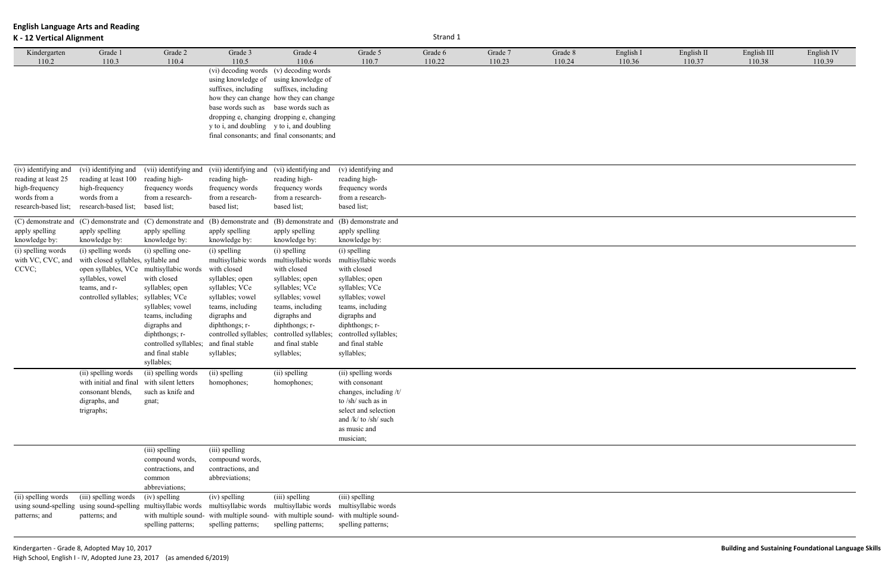## **K - 12 Vertical Alignment** Strand 1

| English II | English III | English IV |  |
|------------|-------------|------------|--|
| 110.37     | 110.38      | 110.39     |  |
|            |             |            |  |

| Kindergarten                                                                                          | Grade 1                                                                                                                                                                           | Grade 2                                                                                                                                                                                  | Grade 3                                                                                                                                                                                                                      | Grade 4                                                                                                                                                                                                                               | Grade 5                                                                                                                                                                                                                      | Grade 6 | Grade 7 | Grade 8 | English I |
|-------------------------------------------------------------------------------------------------------|-----------------------------------------------------------------------------------------------------------------------------------------------------------------------------------|------------------------------------------------------------------------------------------------------------------------------------------------------------------------------------------|------------------------------------------------------------------------------------------------------------------------------------------------------------------------------------------------------------------------------|---------------------------------------------------------------------------------------------------------------------------------------------------------------------------------------------------------------------------------------|------------------------------------------------------------------------------------------------------------------------------------------------------------------------------------------------------------------------------|---------|---------|---------|-----------|
| 110.2                                                                                                 | 110.3                                                                                                                                                                             | 110.4                                                                                                                                                                                    | 110.5<br>(vi) decoding words<br>using knowledge of<br>suffixes, including<br>base words such as<br>y to i, and doubling y to i, and doubling                                                                                 | 110.6<br>(v) decoding words<br>using knowledge of<br>suffixes, including<br>how they can change how they can change<br>base words such as<br>dropping e, changing dropping e, changing<br>final consonants; and final consonants; and | 110.7                                                                                                                                                                                                                        | 110.22  | 110.23  | 110.24  | 110.36    |
| (iv) identifying and<br>reading at least 25<br>high-frequency<br>words from a<br>research-based list; | (vi) identifying and<br>reading at least 100<br>high-frequency<br>words from a<br>research-based list;                                                                            | (vii) identifying and<br>reading high-<br>frequency words<br>from a research-<br>based list;                                                                                             | (vii) identifying and<br>reading high-<br>frequency words<br>from a research-<br>based list;                                                                                                                                 | (vi) identifying and<br>reading high-<br>frequency words<br>from a research-<br>based list;                                                                                                                                           | (v) identifying and<br>reading high-<br>frequency words<br>from a research-<br>based list;                                                                                                                                   |         |         |         |           |
| (C) demonstrate and<br>apply spelling<br>knowledge by:                                                | (C) demonstrate and<br>apply spelling<br>knowledge by:                                                                                                                            | (C) demonstrate and<br>apply spelling<br>knowledge by:                                                                                                                                   | (B) demonstrate and<br>apply spelling<br>knowledge by:                                                                                                                                                                       | (B) demonstrate and<br>apply spelling<br>knowledge by:                                                                                                                                                                                | (B) demonstrate and<br>apply spelling<br>knowledge by:                                                                                                                                                                       |         |         |         |           |
| (i) spelling words<br>with VC, CVC, and<br>CCVC;                                                      | (i) spelling words<br>with closed syllables, syllable and<br>open syllables, VCe multisyllabic words<br>syllables, vowel<br>teams, and r-<br>controlled syllables; syllables; VCe | (i) spelling one-<br>with closed<br>syllables; open<br>syllables; vowel<br>teams, including<br>digraphs and<br>diphthongs; r-<br>controlled syllables;<br>and final stable<br>syllables; | (i) spelling<br>multisyllabic words<br>with closed<br>syllables; open<br>syllables; VCe<br>syllables; vowel<br>teams, including<br>digraphs and<br>diphthongs; r-<br>controlled syllables;<br>and final stable<br>syllables; | (i) spelling<br>multisyllabic words<br>with closed<br>syllables; open<br>syllables; VCe<br>syllables; vowel<br>teams, including<br>digraphs and<br>diphthongs; r-<br>controlled syllables;<br>and final stable<br>syllables;          | (i) spelling<br>multisyllabic words<br>with closed<br>syllables; open<br>syllables; VCe<br>syllables; vowel<br>teams, including<br>digraphs and<br>diphthongs; r-<br>controlled syllables;<br>and final stable<br>syllables; |         |         |         |           |
|                                                                                                       | (ii) spelling words<br>with initial and final<br>consonant blends,<br>digraphs, and<br>trigraphs;                                                                                 | (ii) spelling words<br>with silent letters<br>such as knife and<br>gnat;                                                                                                                 | (ii) spelling<br>homophones;                                                                                                                                                                                                 | (ii) spelling<br>homophones;                                                                                                                                                                                                          | (ii) spelling words<br>with consonant<br>changes, including /t/<br>to /sh/ such as in<br>select and selection<br>and /k/ to /sh/ such<br>as music and<br>musician;                                                           |         |         |         |           |
|                                                                                                       |                                                                                                                                                                                   | (iii) spelling<br>compound words,<br>contractions, and<br>common<br>abbreviations;                                                                                                       | (iii) spelling<br>compound words,<br>contractions, and<br>abbreviations;                                                                                                                                                     |                                                                                                                                                                                                                                       |                                                                                                                                                                                                                              |         |         |         |           |
| (ii) spelling words<br>using sound-spelling<br>patterns; and                                          | (iii) spelling words<br>using sound-spelling multisyllabic words<br>patterns; and                                                                                                 | (iv) spelling<br>with multiple sound-<br>spelling patterns;                                                                                                                              | (iv) spelling<br>multisyllabic words<br>with multiple sound-<br>spelling patterns;                                                                                                                                           | (iii) spelling<br>multisyllabic words<br>with multiple sound-<br>spelling patterns;                                                                                                                                                   | (iii) spelling<br>multisyllabic words<br>with multiple sound-<br>spelling patterns;                                                                                                                                          |         |         |         |           |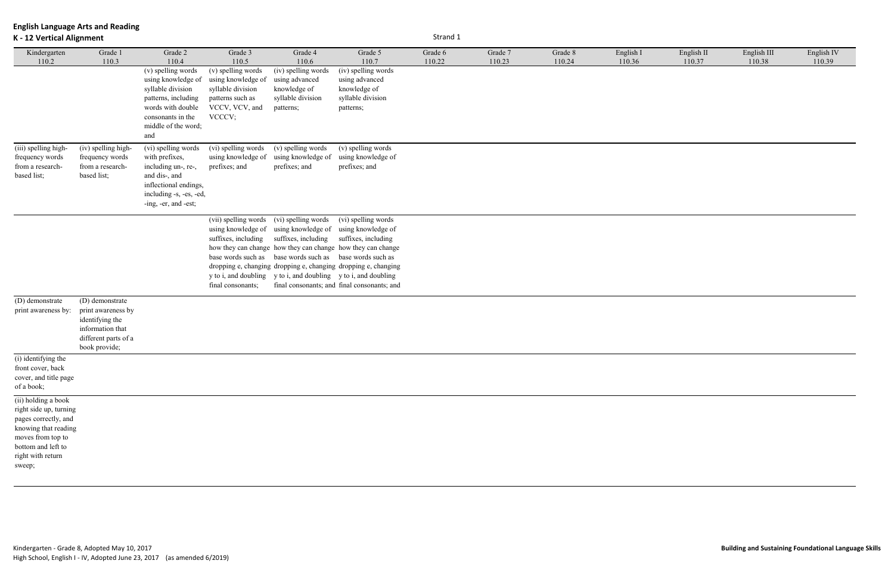## **K - 12 Vertical Alignment** Strand 1

| English II | English III | English IV |
|------------|-------------|------------|
| 110.37     | 110.38      | 110.39     |
|            |             |            |

| Kindergarten                                                                                                                                                            | Grade 1                                                                                                               | Grade 2                                                                                                                                                               | Grade 3                                                                                                                | Grade 4                                                                                                                                                  | Grade 5                                                                                                                                                                                                                                                                | Grade 6 | Grade 7 | Grade 8 | English I |
|-------------------------------------------------------------------------------------------------------------------------------------------------------------------------|-----------------------------------------------------------------------------------------------------------------------|-----------------------------------------------------------------------------------------------------------------------------------------------------------------------|------------------------------------------------------------------------------------------------------------------------|----------------------------------------------------------------------------------------------------------------------------------------------------------|------------------------------------------------------------------------------------------------------------------------------------------------------------------------------------------------------------------------------------------------------------------------|---------|---------|---------|-----------|
| 110.2                                                                                                                                                                   | 110.3                                                                                                                 | 110.4<br>(v) spelling words<br>using knowledge of<br>syllable division<br>patterns, including<br>words with double<br>consonants in the<br>middle of the word;<br>and | 110.5<br>(v) spelling words<br>using knowledge of<br>syllable division<br>patterns such as<br>VCCV, VCV, and<br>VCCCV; | 110.6<br>(iv) spelling words<br>using advanced<br>knowledge of<br>syllable division<br>patterns;                                                         | 110.7<br>(iv) spelling words<br>using advanced<br>knowledge of<br>syllable division<br>patterns;                                                                                                                                                                       | 110.22  | 110.23  | 110.24  | 110.36    |
| (iii) spelling high-<br>frequency words<br>from a research-<br>based list;                                                                                              | (iv) spelling high-<br>frequency words<br>from a research-<br>based list;                                             | (vi) spelling words<br>with prefixes,<br>including un-, re-,<br>and dis-, and<br>inflectional endings,<br>including -s, -es, -ed,<br>-ing, -er, and -est;             | (vi) spelling words<br>using knowledge of<br>prefixes; and                                                             | (v) spelling words<br>using knowledge of<br>prefixes; and                                                                                                | (v) spelling words<br>using knowledge of<br>prefixes; and                                                                                                                                                                                                              |         |         |         |           |
|                                                                                                                                                                         |                                                                                                                       |                                                                                                                                                                       | (vii) spelling words<br>using knowledge of<br>suffixes, including<br>base words such as<br>final consonants;           | (vi) spelling words<br>using knowledge of<br>suffixes, including<br>base words such as<br>y to i, and doubling y to i, and doubling y to i, and doubling | (vi) spelling words<br>using knowledge of<br>suffixes, including<br>how they can change how they can change how they can change<br>base words such as<br>dropping e, changing dropping e, changing dropping e, changing<br>final consonants; and final consonants; and |         |         |         |           |
| (D) demonstrate<br>print awareness by:                                                                                                                                  | (D) demonstrate<br>print awareness by<br>identifying the<br>information that<br>different parts of a<br>book provide; |                                                                                                                                                                       |                                                                                                                        |                                                                                                                                                          |                                                                                                                                                                                                                                                                        |         |         |         |           |
| (i) identifying the<br>front cover, back<br>cover, and title page<br>of a book;                                                                                         |                                                                                                                       |                                                                                                                                                                       |                                                                                                                        |                                                                                                                                                          |                                                                                                                                                                                                                                                                        |         |         |         |           |
| (ii) holding a book<br>right side up, turning<br>pages correctly, and<br>knowing that reading<br>moves from top to<br>bottom and left to<br>right with return<br>sweep; |                                                                                                                       |                                                                                                                                                                       |                                                                                                                        |                                                                                                                                                          |                                                                                                                                                                                                                                                                        |         |         |         |           |

**Building and Sustaining Foundational Language Skills: Beginning Reading & Writing**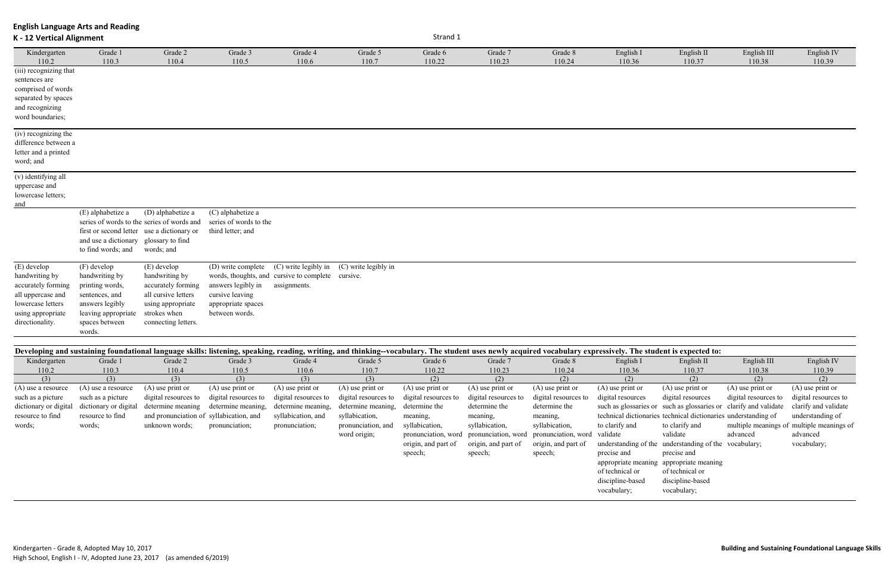| K - 12 Vertical Alignment                                                                                                             |                                                                                                                                          |                                                                                                                                        |                                                                                                                                                                               | Strand 1         |                      |                   |                   |                   |                     |                      |                       |                                 |
|---------------------------------------------------------------------------------------------------------------------------------------|------------------------------------------------------------------------------------------------------------------------------------------|----------------------------------------------------------------------------------------------------------------------------------------|-------------------------------------------------------------------------------------------------------------------------------------------------------------------------------|------------------|----------------------|-------------------|-------------------|-------------------|---------------------|----------------------|-----------------------|---------------------------------|
| Kindergarten<br>110.2                                                                                                                 | Grade 1<br>110.3                                                                                                                         | Grade 2<br>110.4                                                                                                                       | Grade 3<br>110.5                                                                                                                                                              | Grade 4<br>110.6 | Grade 5<br>110.7     | Grade 6<br>110.22 | Grade 7<br>110.23 | Grade 8<br>110.24 | English I<br>110.36 | English II<br>110.37 | English III<br>110.38 | English <sub>IV</sub><br>110.39 |
| (iii) recognizing that<br>sentences are<br>comprised of words<br>separated by spaces<br>and recognizing<br>word boundaries;           |                                                                                                                                          |                                                                                                                                        |                                                                                                                                                                               |                  |                      |                   |                   |                   |                     |                      |                       |                                 |
| (iv) recognizing the<br>difference between a<br>letter and a printed<br>word; and                                                     |                                                                                                                                          |                                                                                                                                        |                                                                                                                                                                               |                  |                      |                   |                   |                   |                     |                      |                       |                                 |
| (v) identifying all<br>uppercase and<br>lowercase letters;<br>and                                                                     |                                                                                                                                          |                                                                                                                                        |                                                                                                                                                                               |                  |                      |                   |                   |                   |                     |                      |                       |                                 |
|                                                                                                                                       | (E) alphabetize a<br>first or second letter use a dictionary or<br>and use a dictionary glossary to find<br>to find words; and           | (D) alphabetize a<br>series of words to the series of words and<br>words; and                                                          | (C) alphabetize a<br>series of words to the<br>third letter; and                                                                                                              |                  |                      |                   |                   |                   |                     |                      |                       |                                 |
| (E) develop<br>handwriting by<br>accurately forming<br>all uppercase and<br>lowercase letters<br>using appropriate<br>directionality. | (F) develop<br>handwriting by<br>printing words,<br>sentences, and<br>answers legibly<br>leaving appropriate<br>spaces between<br>words. | (E) develop<br>handwriting by<br>accurately forming<br>all cursive letters<br>using appropriate<br>strokes when<br>connecting letters. | (D) write complete (C) write legibly in<br>words, thoughts, and cursive to complete cursive.<br>answers legibly in<br>cursive leaving<br>appropriate spaces<br>between words. | assignments.     | (C) write legibly in |                   |                   |                   |                     |                      |                       |                                 |

|                       |                       |                                         |                      |                      |                      | Developing and sustaining foundational language skills: listening, speaking, reading, writing, and thinking--vocabulary. The student uses newly acquired vocabulary expressively. The student is expected to: |                      |                      |                    |                                                                  |                      |                                           |
|-----------------------|-----------------------|-----------------------------------------|----------------------|----------------------|----------------------|---------------------------------------------------------------------------------------------------------------------------------------------------------------------------------------------------------------|----------------------|----------------------|--------------------|------------------------------------------------------------------|----------------------|-------------------------------------------|
|                       |                       |                                         |                      |                      |                      |                                                                                                                                                                                                               |                      |                      |                    |                                                                  |                      |                                           |
| Kindergarten          | Grade 1               | Grade 2                                 | Grade 3              | Grade 4              | Grade 5              | Grade 6                                                                                                                                                                                                       | Grade 7              | Grade 8              | English I          | English II                                                       | English III          | English IV                                |
| 110.2                 | 110.3                 | 110.4                                   | 110.5                | 110.6                | 110.7                | 110.22                                                                                                                                                                                                        | 110.23               | 110.24               | 110.36             | 110.37                                                           | 110.38               | 110.39                                    |
| (3)                   | (3)                   | (3)                                     | (3)                  | (3)                  | (3)                  | (2)                                                                                                                                                                                                           | (2)                  | (2)                  | (2)                | (2)                                                              | (2)                  | (2)                                       |
| (A) use a resource    | (A) use a resource    | $(A)$ use print or                      | $(A)$ use print or   | $(A)$ use print or   | $(A)$ use print or   | $(A)$ use print or                                                                                                                                                                                            | $(A)$ use print or   | $(A)$ use print or   | $(A)$ use print or | $(A)$ use print or                                               | $(A)$ use print or   | $(A)$ use print or                        |
| such as a picture     | such as a picture     | digital resources to                    | digital resources to | digital resources to | digital resources to | digital resources to                                                                                                                                                                                          | digital resources to | digital resources to | digital resources  | digital resources                                                | digital resources to | digital resources to                      |
| dictionary or digital | dictionary or digital | determine meaning                       | determine meaning,   | determine meaning,   | determine meaning,   | determine the                                                                                                                                                                                                 | determine the        | determine the        |                    | such as glossaries or such as glossaries or clarify and validate |                      | clarify and validate                      |
| resource to find      | resource to find      | and pronunciation of syllabication, and |                      | syllabication, and   | syllabication,       | meaning,                                                                                                                                                                                                      | meaning,             | meaning,             |                    | technical dictionaries technical dictionaries understanding of   |                      | understanding of                          |
| words;                | words;                | unknown words;                          | pronunciation;       | pronunciation;       | pronunciation, and   | syllabication,                                                                                                                                                                                                | syllabication,       | syllabication,       | to clarify and     | to clarify and                                                   |                      | multiple meanings of multiple meanings of |
|                       |                       |                                         |                      |                      | word origin;         | pronunciation, word                                                                                                                                                                                           | pronunciation, word  | pronunciation, word  | validate           | validate                                                         | advanced             | advanced                                  |
|                       |                       |                                         |                      |                      |                      | origin, and part of                                                                                                                                                                                           | origin, and part of  | origin, and part of  |                    | understanding of the understanding of the vocabulary;            |                      | vocabulary;                               |
|                       |                       |                                         |                      |                      |                      | speech;                                                                                                                                                                                                       | speech;              | speech;              | precise and        | precise and                                                      |                      |                                           |
|                       |                       |                                         |                      |                      |                      |                                                                                                                                                                                                               |                      |                      |                    | appropriate meaning appropriate meaning                          |                      |                                           |
|                       |                       |                                         |                      |                      |                      |                                                                                                                                                                                                               |                      |                      | of technical or    | of technical or                                                  |                      |                                           |
|                       |                       |                                         |                      |                      |                      |                                                                                                                                                                                                               |                      |                      | discipline-based   | discipline-based                                                 |                      |                                           |
|                       |                       |                                         |                      |                      |                      |                                                                                                                                                                                                               |                      |                      |                    |                                                                  |                      |                                           |
|                       |                       |                                         |                      |                      |                      |                                                                                                                                                                                                               |                      |                      | vocabulary;        | vocabulary;                                                      |                      |                                           |
|                       |                       |                                         |                      |                      |                      |                                                                                                                                                                                                               |                      |                      |                    |                                                                  |                      |                                           |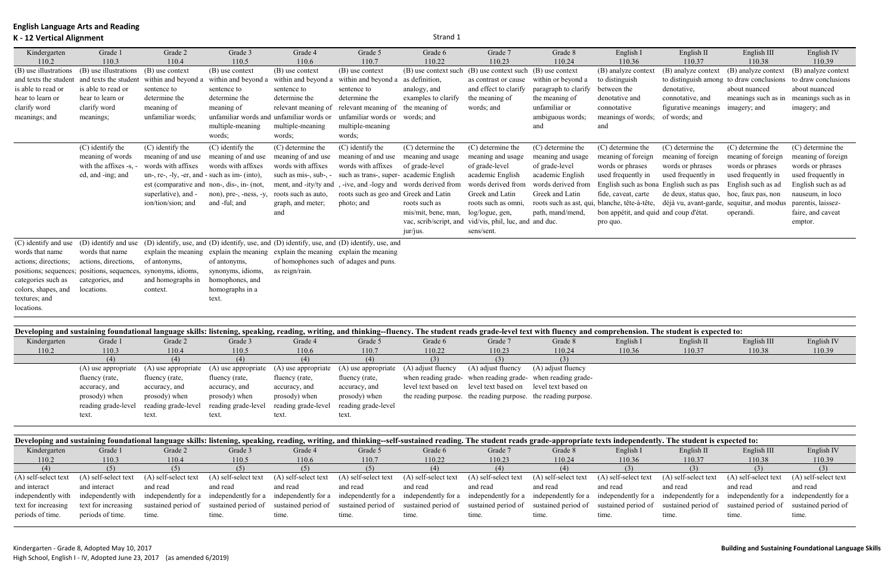## **K - 12 Vertical Alignment** Strand 1

| Kindergarten          | Grade 1                                                       | Grade 2                                          | Grade 3                                  | Grade 4                                                                         | Grade 5                                                                                     | Grade 6                | Grade 7                          | Grade 8              | English I                                                                               | English II                               | English III         | English IV          |
|-----------------------|---------------------------------------------------------------|--------------------------------------------------|------------------------------------------|---------------------------------------------------------------------------------|---------------------------------------------------------------------------------------------|------------------------|----------------------------------|----------------------|-----------------------------------------------------------------------------------------|------------------------------------------|---------------------|---------------------|
| 110.2                 | 110.3                                                         | 110.4                                            | 110.5                                    | 110.6                                                                           | 110.7                                                                                       | 110.22                 | 110.23                           | 110.24               | 110.36                                                                                  | 110.37                                   | 110.38              | 110.39              |
| (B) use illustrations | (B) use illustrations                                         | (B) use context                                  | (B) use context                          | $(B)$ use context                                                               | (B) use context                                                                             | (B) use context such   | (B) use context such             | (B) use context      | (B) analyze context                                                                     | (B) analyze context                      | (B) analyze context | (B) analyze context |
| and texts the student | and texts the student                                         | within and beyond a                              | within and beyond a                      | within and beyond a                                                             | within and beyond a                                                                         | as definition,         | as contrast or cause             | within or beyond a   | to distinguish                                                                          | to distinguish among to draw conclusions |                     | to draw conclusions |
| is able to read or    | is able to read or                                            | sentence to                                      | sentence to                              | sentence to                                                                     | sentence to                                                                                 | analogy, and           | and effect to clarify            | paragraph to clarify | between the                                                                             | denotative,                              | about nuanced       | about nuanced       |
| hear to learn or      | hear to learn or                                              | determine the                                    | determine the                            | determine the                                                                   | determine the                                                                               | examples to clarify    | the meaning of                   | the meaning of       | denotative and                                                                          | connotative, and                         | meanings such as in | meanings such as in |
| clarify word          | clarify word                                                  | meaning of                                       | meaning of                               | relevant meaning of                                                             | relevant meaning of                                                                         | the meaning of         | words; and                       | unfamiliar or        | connotative                                                                             | figurative meanings                      | imagery; and        | imagery; and        |
| meanings; and         | meanings;                                                     | unfamiliar words;                                | unfamiliar words and unfamiliar words or |                                                                                 | unfamiliar words or                                                                         | words: and             |                                  | ambiguous words;     | meanings of words;                                                                      | of words; and                            |                     |                     |
|                       |                                                               |                                                  | multiple-meaning                         | multiple-meaning                                                                | multiple-meaning                                                                            |                        |                                  | and                  | and                                                                                     |                                          |                     |                     |
|                       |                                                               |                                                  | words:                                   | words;                                                                          | words;                                                                                      |                        |                                  |                      |                                                                                         |                                          |                     |                     |
|                       | (C) identify the                                              | (C) identify the                                 | (C) identify the                         | (C) determine the                                                               | (C) identify the                                                                            | (C) determine the      | (C) determine the                | (C) determine the    | (C) determine the                                                                       | (C) determine the                        | (C) determine the   | (C) determine the   |
|                       | meaning of words                                              | meaning of and use                               | meaning of and use                       | meaning of and use                                                              | meaning of and use                                                                          | meaning and usage      | meaning and usage                | meaning and usage    | meaning of foreign                                                                      | meaning of foreign                       | meaning of foreign  | meaning of foreign  |
|                       | with the affixes -s, -                                        | words with affixes                               | words with affixes                       | words with affixes                                                              | words with affixes                                                                          | of grade-level         | of grade-level                   | of grade-level       | words or phrases                                                                        | words or phrases                         | words or phrases    | words or phrases    |
|                       | ed, and -ing; and                                             | un-, re-, -ly, -er, and - such as im- $(into)$ , |                                          | such as mis-, sub-, -                                                           | such as trans-, super-                                                                      | academic English       | academic English                 | academic English     | used frequently in                                                                      | used frequently in                       | used frequently in  | used frequently in  |
|                       |                                                               | est (comparative and non-, dis-, in- (not,       |                                          | ment, and -ity/ty and                                                           | , -ive, and -logy and                                                                       | words derived from     | words derived from               | words derived from   | English such as bona English such as pas                                                |                                          | English such as ad  | English such as ad  |
|                       |                                                               | superlative), and -                              | non), pre-, -ness, -y,                   | roots such as auto,                                                             | roots such as geo and Greek and Latin                                                       |                        | Greek and Latin                  | Greek and Latin      | fide, caveat, carte                                                                     | de deux, status quo,                     | hoc, faux pas, non  | nauseum, in loco    |
|                       |                                                               | ion/tion/sion; and                               | and -ful; and                            | graph, and meter;                                                               | photo; and                                                                                  | roots such as          | roots such as omni,              |                      | roots such as ast, qui, blanche, tête-à-tête, déjà vu, avant-garde, sequitur, and modus |                                          |                     | parentis, laissez-  |
|                       |                                                               |                                                  |                                          | and                                                                             |                                                                                             | mis/mit, bene, man,    | log/logue, gen,                  | path, mand/mend,     | bon appétit, and quid and coup d'état.                                                  |                                          | operandi.           | faire, and caveat   |
|                       |                                                               |                                                  |                                          |                                                                                 |                                                                                             | vac, scrib/script, and | vid/vis, phil, luc, and and duc. |                      | pro quo.                                                                                |                                          |                     | emptor.             |
|                       |                                                               |                                                  |                                          |                                                                                 |                                                                                             | jur/jus.               | sens/sent.                       |                      |                                                                                         |                                          |                     |                     |
| (C) identify and use  | (D) identify and use                                          |                                                  |                                          |                                                                                 | (D) identify, use, and (D) identify, use, and (D) identify, use, and (D) identify, use, and |                        |                                  |                      |                                                                                         |                                          |                     |                     |
| words that name       | words that name                                               |                                                  |                                          | explain the meaning explain the meaning explain the meaning explain the meaning |                                                                                             |                        |                                  |                      |                                                                                         |                                          |                     |                     |
| actions; directions;  | actions, directions,                                          | of antonyms,                                     | of antonyms,                             | of homophones such of adages and puns.                                          |                                                                                             |                        |                                  |                      |                                                                                         |                                          |                     |                     |
|                       | positions; sequences; positions, sequences, synonyms, idioms, |                                                  | synonyms, idioms,                        | as reign/rain.                                                                  |                                                                                             |                        |                                  |                      |                                                                                         |                                          |                     |                     |
| categories such as    | categories, and                                               | and homographs in                                | homophones, and                          |                                                                                 |                                                                                             |                        |                                  |                      |                                                                                         |                                          |                     |                     |
| colors, shapes, and   | locations.                                                    | context.                                         | homographs in a                          |                                                                                 |                                                                                             |                        |                                  |                      |                                                                                         |                                          |                     |                     |
| textures; and         |                                                               |                                                  | text.                                    |                                                                                 |                                                                                             |                        |                                  |                      |                                                                                         |                                          |                     |                     |
| locations.            |                                                               |                                                  |                                          |                                                                                 |                                                                                             |                        |                                  |                      |                                                                                         |                                          |                     |                     |
|                       |                                                               |                                                  |                                          |                                                                                 |                                                                                             |                        |                                  |                      |                                                                                         |                                          |                     |                     |

| Developing and sustaining foundational language skills: listening, speaking, reading, writing, and thinking--fluency. The student reads grade-level text with fluency and comprehension. The student is expected to: |                     |                     |                                         |                                                                                         |                     |                                                             |                    |                                                                |           |            |             |            |
|----------------------------------------------------------------------------------------------------------------------------------------------------------------------------------------------------------------------|---------------------|---------------------|-----------------------------------------|-----------------------------------------------------------------------------------------|---------------------|-------------------------------------------------------------|--------------------|----------------------------------------------------------------|-----------|------------|-------------|------------|
| Kindergarten                                                                                                                                                                                                         | Grade 1             | Grade 2             | Grade 3                                 | Grade 4                                                                                 | Grade 5             | Grade 6                                                     | Grade 7            | Grade 8                                                        | English I | English II | English III | English IV |
| 110.2                                                                                                                                                                                                                | 110.3               | 110.4               | 110.5                                   | 110.6                                                                                   | 110.7               | 110.22                                                      | 110.23             | 110.24                                                         | 110.36    | 110.37     | 110.38      | 110.39     |
|                                                                                                                                                                                                                      | (4)                 | (4)                 | (4)                                     | (4)                                                                                     | (4)                 | (3)                                                         | (3)                |                                                                |           |            |             |            |
|                                                                                                                                                                                                                      |                     |                     |                                         | $(A)$ use appropriate $(A)$ use appropriate $(A)$ use appropriate $(A)$ use appropriate | (A) use appropriate | (A) adjust fluency                                          | (A) adjust fluency | (A) adjust fluency                                             |           |            |             |            |
|                                                                                                                                                                                                                      | fluency (rate,      | fluency (rate,      | fluency (rate,                          | fluency (rate,                                                                          | fluency (rate,      |                                                             |                    | when reading grade- when reading grade- when reading grade-    |           |            |             |            |
|                                                                                                                                                                                                                      | accuracy, and       | accuracy, and       | accuracy, and                           | accuracy, and                                                                           | accuracy, and       | level text based on level text based on level text based on |                    |                                                                |           |            |             |            |
|                                                                                                                                                                                                                      | prosody) when       | prosody) when       | prosody) when                           | prosody) when                                                                           | prosody) when       |                                                             |                    | the reading purpose. the reading purpose. the reading purpose. |           |            |             |            |
|                                                                                                                                                                                                                      | reading grade-level | reading grade-level | reading grade-level reading grade-level |                                                                                         | reading grade-level |                                                             |                    |                                                                |           |            |             |            |
|                                                                                                                                                                                                                      | text.               | text.               | text.                                   | text.                                                                                   | text.               |                                                             |                    |                                                                |           |            |             |            |

| Developing and sustaining foundational language skills: listening, speaking, reading, writing, and thinking-self-sustained reading. The student reads grade-appropriate texts independently. The student is expected to: |                      |                      |                      |                                         |                      |                      |                                                                                                                         |                      |                      |                      |                      |                      |
|--------------------------------------------------------------------------------------------------------------------------------------------------------------------------------------------------------------------------|----------------------|----------------------|----------------------|-----------------------------------------|----------------------|----------------------|-------------------------------------------------------------------------------------------------------------------------|----------------------|----------------------|----------------------|----------------------|----------------------|
| Kindergarten                                                                                                                                                                                                             | Grade 1              | Grade 2              | Grade 3              | Grade 4                                 | Grade 5              | Grade 6              | Grade 7                                                                                                                 | Grade 8              | English I            | English II           | English III          | English IV           |
| 110.2                                                                                                                                                                                                                    | 110.3                | 110.4                | 110.5                | 110.6                                   | 110.7                | 110.22               | 110.23                                                                                                                  | 110.24               | 110.36               | 110.37               | 110.38               | 110.39               |
|                                                                                                                                                                                                                          | (5)                  | (5)                  | (5)                  |                                         |                      |                      |                                                                                                                         |                      |                      | (3)                  | (3)                  |                      |
| (A) self-select text                                                                                                                                                                                                     | (A) self-select text | (A) self-select text | (A) self-select text | (A) self-select text                    | (A) self-select text | (A) self-select text | (A) self-select text                                                                                                    | (A) self-select text | (A) self-select text | (A) self-select text | (A) self-select text | (A) self-select text |
| and interact                                                                                                                                                                                                             | and interact         | and read             | and read             | and read                                | and read             | and read             | and read                                                                                                                | and read             | and read             | and read             | and read             | and read             |
| independently with                                                                                                                                                                                                       | independently with   | independently for a  |                      | independently for a independently for a | independently for a  | independently for a  | independently for a independently for a independently for a independently for a independently for a independently for a |                      |                      |                      |                      |                      |
| text for increasing                                                                                                                                                                                                      | text for increasing  | sustained period of  |                      | sustained period of sustained period of | sustained period of  | sustained period of  | sustained period of sustained period of                                                                                 |                      | sustained period of  | sustained period of  | sustained period of  | sustained period of  |
| periods of time.                                                                                                                                                                                                         | periods of time.     | time.                | tıme.                | time.                                   | time.                | time.                | tıme.                                                                                                                   | time.                | time.                | time.                | time.                | time.                |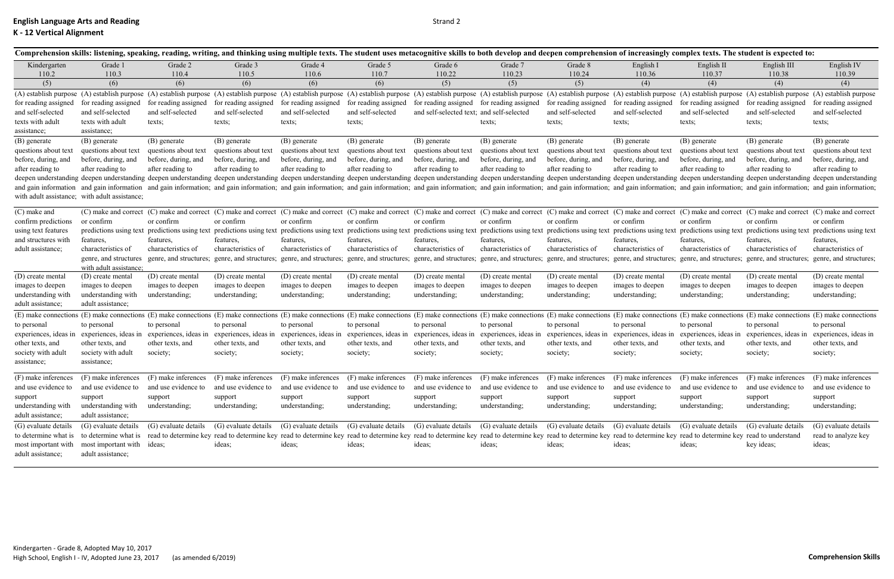|                                               |                                                |                       |                       |                                                                                                                                                                                                                                |                       |                                           |                                             |                      |                                                                |                      | Comprehension skills: listening, speaking, reading, writing, and thinking using multiple texts. The student uses metacognitive skills to both develop and deepen comprehension of increasingly complex texts. The student is e |                      |
|-----------------------------------------------|------------------------------------------------|-----------------------|-----------------------|--------------------------------------------------------------------------------------------------------------------------------------------------------------------------------------------------------------------------------|-----------------------|-------------------------------------------|---------------------------------------------|----------------------|----------------------------------------------------------------|----------------------|--------------------------------------------------------------------------------------------------------------------------------------------------------------------------------------------------------------------------------|----------------------|
| Kindergarten                                  | Grade 1                                        | Grade 2               | Grade 3               | Grade 4                                                                                                                                                                                                                        | Grade 5               | Grade 6                                   | Grade 7                                     | Grade 8              | English I                                                      | English II           | English III                                                                                                                                                                                                                    | English IV           |
| 110.2                                         | 110.3                                          | 110.4                 | 110.5                 | 110.6                                                                                                                                                                                                                          | 110.7                 | 110.22                                    | 110.23                                      | 110.24               | 110.36                                                         | 110.37               | 110.38                                                                                                                                                                                                                         | 110.39               |
| (5)                                           | (6)                                            | (6)                   | (6)                   | (6)                                                                                                                                                                                                                            | (6)                   | (5)                                       | (5)                                         | (5)                  | (4)                                                            | (4)                  | (4)                                                                                                                                                                                                                            | (4)                  |
|                                               |                                                |                       |                       |                                                                                                                                                                                                                                |                       |                                           |                                             |                      |                                                                |                      | (A) establish purpose (A) establish purpose (A) establish purpose (A) establish purpose (A) establish purpose (A) establish purpose (A) establish purpose (A) establish purpose (A) establish purpose (A) establish purpose (A |                      |
| for reading assigned                          | for reading assigned                           | for reading assigned  | for reading assigned  | for reading assigned                                                                                                                                                                                                           | for reading assigned  | for reading assigned for reading assigned |                                             | for reading assigned | for reading assigned                                           | for reading assigned | for reading assigned                                                                                                                                                                                                           | for reading assigned |
| and self-selected                             | and self-selected                              | and self-selected     | and self-selected     | and self-selected                                                                                                                                                                                                              | and self-selected     | and self-selected text; and self-selected |                                             | and self-selected    | and self-selected                                              | and self-selected    | and self-selected                                                                                                                                                                                                              | and self-selected    |
| texts with adult                              | texts with adult                               | texts;                | texts;                | texts;                                                                                                                                                                                                                         | texts;                |                                           | texts;                                      | texts;               | texts;                                                         | texts;               | texts;                                                                                                                                                                                                                         | texts;               |
| assistance;                                   | assistance;                                    |                       |                       |                                                                                                                                                                                                                                |                       |                                           |                                             |                      |                                                                |                      |                                                                                                                                                                                                                                |                      |
| (B) generate                                  | (B) generate                                   | (B) generate          | (B) generate          | (B) generate                                                                                                                                                                                                                   | (B) generate          | (B) generate                              | (B) generate                                | (B) generate         | (B) generate                                                   | (B) generate         | (B) generate                                                                                                                                                                                                                   | (B) generate         |
| questions about text                          | questions about text                           | questions about text  | questions about text  | questions about text                                                                                                                                                                                                           | questions about text  | questions about text                      | questions about text                        | questions about text | questions about text                                           | questions about text | questions about text                                                                                                                                                                                                           | questions about text |
| before, during, and                           | before, during, and                            | before, during, and   | before, during, and   | before, during, and                                                                                                                                                                                                            | before, during, and   | before, during, and                       | before, during, and                         | before, during, and  | before, during, and                                            | before, during, and  | before, during, and                                                                                                                                                                                                            | before, during, and  |
| after reading to                              | after reading to                               | after reading to      | after reading to      | after reading to                                                                                                                                                                                                               | after reading to      | after reading to                          | after reading to                            | after reading to     | after reading to                                               | after reading to     | after reading to                                                                                                                                                                                                               | after reading to     |
|                                               |                                                |                       |                       |                                                                                                                                                                                                                                |                       |                                           |                                             |                      |                                                                |                      | deepen understanding deepen understanding deepen understanding deepen understanding deepen understanding deepen understanding deepen understanding deepen understanding deepen understanding deepen understanding deepen under |                      |
|                                               |                                                |                       |                       |                                                                                                                                                                                                                                |                       |                                           |                                             |                      |                                                                |                      | and gain information and gain information and gain information; and gain information; and gain information; and gain information; and gain information; and gain information; and gain information; and gain information; and  |                      |
| with adult assistance; with adult assistance; |                                                |                       |                       |                                                                                                                                                                                                                                |                       |                                           |                                             |                      |                                                                |                      |                                                                                                                                                                                                                                |                      |
| (C) make and                                  |                                                |                       |                       |                                                                                                                                                                                                                                |                       |                                           |                                             |                      |                                                                |                      | (C) make and correct (C) make and correct (C) make and correct (C) make and correct (C) make and correct (C) make and correct (C) make and correct (C) make and correct (C) make and correct (C) make and correct (C) make and |                      |
| confirm predictions                           | or confirm                                     | or confirm            | or confirm            | or confirm                                                                                                                                                                                                                     | or confirm            | or confirm                                | or confirm                                  | or confirm           | or confirm                                                     | or confirm           | or confirm                                                                                                                                                                                                                     | or confirm           |
| using text features                           |                                                |                       |                       |                                                                                                                                                                                                                                |                       |                                           |                                             |                      |                                                                |                      | predictions using text predictions using text predictions using text predictions using text predictions using text predictions using text predictions using text predictions using text predictions using text predictions usi |                      |
| and structures with                           | features,                                      | features,             | features,             | features,                                                                                                                                                                                                                      | features,             | features,                                 | features,                                   | features,            | features,                                                      | features,            | features,                                                                                                                                                                                                                      | features,            |
| adult assistance;                             | characteristics of                             | characteristics of    | characteristics of    | characteristics of                                                                                                                                                                                                             | characteristics of    | characteristics of                        | characteristics of                          | characteristics of   | characteristics of                                             | characteristics of   | characteristics of                                                                                                                                                                                                             | characteristics of   |
|                                               | genre, and structures                          |                       |                       |                                                                                                                                                                                                                                |                       |                                           |                                             |                      |                                                                |                      | genre, and structures; genre, and structures; genre, and structures; genre, and structures; genre, and structures; genre, and structures; genre, and structures; genre, and structures; genre, and structures; genre, and stru |                      |
|                                               | with adult assistance;                         |                       |                       |                                                                                                                                                                                                                                |                       |                                           |                                             |                      |                                                                |                      |                                                                                                                                                                                                                                |                      |
| (D) create mental                             | (D) create mental                              | (D) create mental     | (D) create mental     | (D) create mental                                                                                                                                                                                                              | (D) create mental     | (D) create mental                         | (D) create mental                           | (D) create mental    | (D) create mental                                              | (D) create mental    | (D) create mental                                                                                                                                                                                                              | (D) create mental    |
| images to deepen                              | images to deepen                               | images to deepen      | images to deepen      | images to deepen                                                                                                                                                                                                               | images to deepen      | images to deepen                          | images to deepen                            | images to deepen     | images to deepen                                               | images to deepen     | images to deepen                                                                                                                                                                                                               | images to deepen     |
| understanding with                            | understanding with                             | understanding;        | understanding;        | understanding;                                                                                                                                                                                                                 | understanding;        | understanding;                            | understanding;                              | understanding;       | understanding;                                                 | understanding;       | understanding;                                                                                                                                                                                                                 | understanding;       |
| adult assistance;                             | adult assistance;                              |                       |                       |                                                                                                                                                                                                                                |                       |                                           |                                             |                      |                                                                |                      |                                                                                                                                                                                                                                |                      |
|                                               |                                                |                       |                       |                                                                                                                                                                                                                                |                       |                                           |                                             |                      |                                                                |                      | (E) make connections (E) make connections (E) make connections (E) make connections (E) make connections (E) make connections (E) make connections (E) make connections (E) make connections (E) make connections (E) make con |                      |
| to personal                                   | to personal                                    | to personal           | to personal           | to personal                                                                                                                                                                                                                    | to personal           | to personal                               | to personal                                 | to personal          | to personal                                                    | to personal          | to personal                                                                                                                                                                                                                    | to personal          |
| experiences, ideas in                         | experiences, ideas in                          | experiences, ideas in | experiences, ideas in | experiences, ideas in                                                                                                                                                                                                          | experiences, ideas in | experiences, ideas in                     | experiences, ideas in experiences, ideas in |                      | experiences, ideas in                                          |                      | experiences, ideas in experiences, ideas in experiences, ideas in                                                                                                                                                              |                      |
| other texts, and                              | other texts, and                               | other texts, and      | other texts, and      | other texts, and                                                                                                                                                                                                               | other texts, and      | other texts, and                          | other texts, and                            | other texts, and     | other texts, and                                               | other texts, and     | other texts, and                                                                                                                                                                                                               | other texts, and     |
| society with adult                            | society with adult                             | society;              | society;              | society;                                                                                                                                                                                                                       | society;              | society;                                  | society;                                    | society;             | society;                                                       | society;             | society;                                                                                                                                                                                                                       | society;             |
| assistance;                                   | assistance;                                    |                       |                       |                                                                                                                                                                                                                                |                       |                                           |                                             |                      |                                                                |                      |                                                                                                                                                                                                                                |                      |
|                                               |                                                |                       |                       |                                                                                                                                                                                                                                |                       |                                           |                                             |                      |                                                                |                      | (F) make inferences (F) make inferences (F) make inferences (F) make inferences (F) make inferences (F) make inferences (F) make inferences (F) make inferences (F) make inferences (F) make inferences (F) make inferences (F |                      |
|                                               |                                                |                       |                       |                                                                                                                                                                                                                                |                       |                                           |                                             |                      |                                                                |                      | and use evidence to and use evidence to and use evidence to and use evidence to and use evidence to and use evidence to and use evidence to and use evidence to and use evidence to and use evidence to and use evidence to an |                      |
| support                                       | support                                        | support               | support               | support                                                                                                                                                                                                                        | support               | support                                   | support                                     | support              | support                                                        | support              | support                                                                                                                                                                                                                        | support              |
| understanding with                            | understanding with                             | understanding;        | understanding;        | understanding;                                                                                                                                                                                                                 | understanding;        | understanding;                            | understanding;                              | understanding;       | understanding;                                                 | understanding;       | understanding;                                                                                                                                                                                                                 | understanding;       |
| adult assistance;                             | adult assistance;                              |                       |                       |                                                                                                                                                                                                                                |                       |                                           |                                             |                      |                                                                |                      |                                                                                                                                                                                                                                |                      |
| (G) evaluate details                          |                                                |                       |                       | (G) evaluate details (G) evaluate details (G) evaluate details (G) evaluate details (G) evaluate details (G) evaluate details (G) evaluate details (G) evaluate details (G) evaluate details (G) evaluate details (G) evaluate |                       |                                           |                                             |                      | (G) evaluate details (G) evaluate details (G) evaluate details |                      |                                                                                                                                                                                                                                | (G) evaluate details |
| to determine what is                          |                                                |                       |                       | to determine what is read to determine key read to determine key read to determine key read to determine key read to determine key read to determine key read to determine key read to determine key read to determine key rea |                       |                                           |                                             |                      |                                                                |                      |                                                                                                                                                                                                                                | read to analyze key  |
|                                               | most important with most important with ideas; |                       | ideas;                | ideas;                                                                                                                                                                                                                         | ideas;                | ideas;                                    | ideas;                                      | ideas;               | ideas;                                                         | ideas;               | key ideas;                                                                                                                                                                                                                     | ideas;               |
| adult assistance;                             | adult assistance;                              |                       |                       |                                                                                                                                                                                                                                |                       |                                           |                                             |                      |                                                                |                      |                                                                                                                                                                                                                                |                      |
|                                               |                                                |                       |                       |                                                                                                                                                                                                                                |                       |                                           |                                             |                      |                                                                |                      |                                                                                                                                                                                                                                |                      |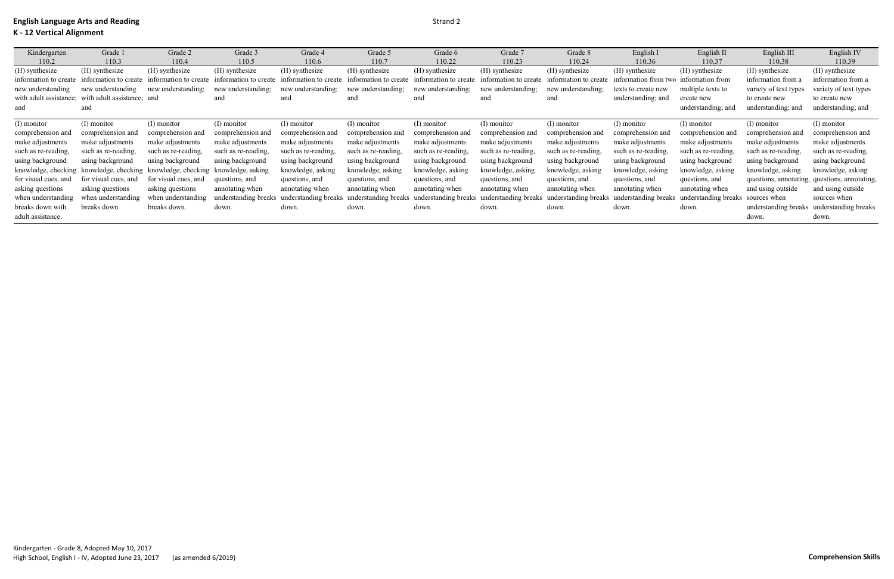| Kindergarten           | Grade 1                                 | Grade 2               | Grade 3               | Grade 4               | Grade 5               | Grade 6               | Grade 7               | Grade 8               | English I            | English II                        | English III           | English IV                                    |
|------------------------|-----------------------------------------|-----------------------|-----------------------|-----------------------|-----------------------|-----------------------|-----------------------|-----------------------|----------------------|-----------------------------------|-----------------------|-----------------------------------------------|
| 110.2                  | 110.3                                   | 110.4                 | 110.5                 | 110.6                 | 110.7                 | 110.22                | 110.23                | 110.24                | 110.36               | 110.37                            | 110.38                | 110.39                                        |
| (H) synthesize         | (H) synthesize                          | (H) synthesize        | (H) synthesize        | (H) synthesize        | (H) synthesize        | (H) synthesize        | (H) synthesize        | (H) synthesize        | (H) synthesize       | (H) synthesize                    | (H) synthesize        | (H) synthesize                                |
| information to create  | information to create                   | information to create | information to create | information to create | information to create | information to create | information to create | information to create | information from two | information from                  | information from a    | information from a                            |
| new understanding      | new understanding                       | new understanding;    | new understanding;    | new understanding;    | new understanding;    | new understanding;    | new understanding;    | new understanding:    | texts to create new  | multiple texts to                 | variety of text types | variety of text types                         |
| with adult assistance; | with adult assistance; and              |                       | and                   | and                   | and                   | and                   | and                   | and                   | understanding; and   | create new                        | to create new         | to create new                                 |
| and                    | and                                     |                       |                       |                       |                       |                       |                       |                       |                      | understanding; and                | understanding; and    | understanding; and                            |
|                        |                                         |                       |                       |                       |                       |                       |                       |                       |                      |                                   |                       |                                               |
| (I) monitor            | (I) monitor                             | (I) monitor           | (I) monitor           | (I) monitor           | (I) monitor           | (I) monitor           | (I) monitor           | (I) monitor           | (I) monitor          | (I) monitor                       | (I) monitor           | (I) monitor                                   |
| comprehension and      | comprehension and                       | comprehension and     | comprehension and     | comprehension and     | comprehension and     | comprehension and     | comprehension and     | comprehension and     | comprehension and    | comprehension and                 | comprehension and     | comprehension and                             |
| make adjustments       | make adjustments                        | make adjustments      | make adjustments      | make adjustments      | make adjustments      | make adjustments      | make adjustments      | make adjustments      | make adjustments     | make adjustments                  | make adjustments      | make adjustments                              |
| such as re-reading,    | such as re-reading.                     | such as re-reading,   | such as re-reading,   | such as re-reading,   | such as re-reading,   | such as re-reading,   | such as re-reading,   | such as re-reading,   | such as re-reading.  | such as re-reading.               | such as re-reading,   | such as re-reading,                           |
| using background       | using background                        | using background      | using background      | using background      | using background      | using background      | using background      | using background      | using background     | using background                  | using background      | using background                              |
| knowledge, checking    | knowledge, checking knowledge, checking |                       | knowledge, asking     | knowledge, asking     | knowledge, asking     | knowledge, asking     | knowledge, asking     | knowledge, asking     | knowledge, asking    | knowledge, asking                 | knowledge, asking     | knowledge, asking                             |
| for visual cues, and   | for visual cues, and                    | for visual cues, and  | questions, and        | questions, and        | questions, and        | questions, and        | questions, and        | questions, and        | questions, and       | questions, and                    |                       | questions, annotating, questions, annotating, |
| asking questions       | asking questions                        | asking questions      | annotating when       | annotating when       | annotating when       | annotating when       | annotating when       | annotating when       | annotating when      | annotating when                   | and using outside     | and using outside                             |
| when understanding     | when understanding                      | when understanding    | understanding breaks  | understanding breaks  | understanding breaks  | understanding breaks  | understanding breaks  | understanding breaks  | understanding breaks | understanding breaks sources when |                       | sources when                                  |
| breaks down with       | breaks down.                            | breaks down.          | down.                 | down.                 | down.                 | down.                 | down.                 | down.                 | down.                | down.                             |                       | understanding breaks understanding breaks     |
| adult assistance.      |                                         |                       |                       |                       |                       |                       |                       |                       |                      |                                   | down.                 | down.                                         |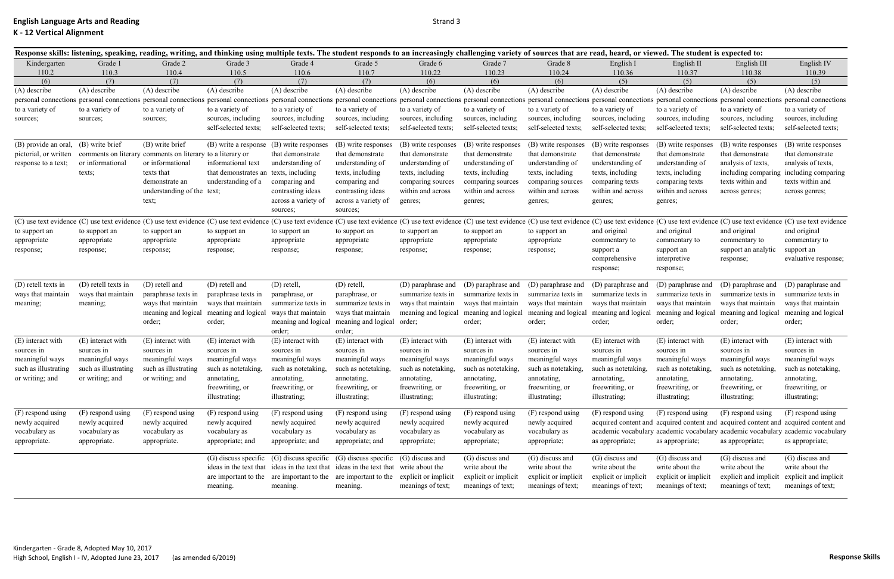|                       | Response skills: listening, speaking, reading, writing, and thinking using multiple texts. The student responds to an increasingly challenging variety of sources that are read, heard, or viewed. The student is expected to: |                                       |                                          |                                                                                      |                                            |                      |                      |                      |                      |                      |                       |                                                                                     |
|-----------------------|--------------------------------------------------------------------------------------------------------------------------------------------------------------------------------------------------------------------------------|---------------------------------------|------------------------------------------|--------------------------------------------------------------------------------------|--------------------------------------------|----------------------|----------------------|----------------------|----------------------|----------------------|-----------------------|-------------------------------------------------------------------------------------|
| Kindergarten          | Grade 1                                                                                                                                                                                                                        | Grade 2                               | Grade 3                                  | Grade 4                                                                              | Grade 5                                    | Grade 6              | Grade 7              | Grade 8              | English I            | English II           | English III           | English IV                                                                          |
| 110.2                 | 110.3                                                                                                                                                                                                                          | 110.4                                 | 110.5                                    | 110.6                                                                                | 110.7                                      | 110.22               | 110.23               | 110.24               | 110.36               | 110.37               | 110.38                | 110.39                                                                              |
| (6)                   | (7)                                                                                                                                                                                                                            | (7)                                   | (7)                                      | (7)                                                                                  | (7)                                        | (6)                  | (6)                  | (6)                  | (5)                  | (5)                  | (5)                   | (5)                                                                                 |
| (A) describe          | (A) describe                                                                                                                                                                                                                   | (A) describe                          | (A) describe                             | (A) describe                                                                         | (A) describe                               | (A) describe         | (A) describe         | (A) describe         | (A) describe         | (A) describe         | (A) describe          | (A) describe                                                                        |
|                       | personal connections personal connections personal connections personal connections personal connections personal connections personal connections personal connections personal connections personal connections personal con |                                       |                                          |                                                                                      |                                            |                      |                      |                      |                      |                      |                       |                                                                                     |
| to a variety of       | to a variety of                                                                                                                                                                                                                | to a variety of                       | to a variety of                          | to a variety of                                                                      | to a variety of                            | to a variety of      | to a variety of      | to a variety of      | to a variety of      | to a variety of      | to a variety of       | to a variety of                                                                     |
| sources;              | sources;                                                                                                                                                                                                                       | sources;                              | sources, including                       | sources, including<br>self-selected texts;                                           | sources, including<br>self-selected texts; | sources, including   | sources, including   | sources, including   | sources, including   | sources, including   | sources, including    | sources, including                                                                  |
|                       |                                                                                                                                                                                                                                |                                       | self-selected texts;                     |                                                                                      |                                            | self-selected texts; | self-selected texts; | self-selected texts; | self-selected texts; | self-selected texts; | self-selected texts;  | self-selected texts;                                                                |
| (B) provide an oral.  | (B) write brief                                                                                                                                                                                                                | (B) write brief                       | (B) write a response (B) write responses |                                                                                      | (B) write responses                        | (B) write responses  | (B) write responses  | (B) write responses  | (B) write responses  | (B) write responses  | (B) write responses   | (B) write responses                                                                 |
| pictorial, or written | comments on literary                                                                                                                                                                                                           | comments on literary to a literary or |                                          | that demonstrate                                                                     | that demonstrate                           | that demonstrate     | that demonstrate     | that demonstrate     | that demonstrate     | that demonstrate     | that demonstrate      | that demonstrate                                                                    |
| response to a text;   | or informational                                                                                                                                                                                                               | or informational                      | informational text                       | understanding of                                                                     | understanding of                           | understanding of     | understanding of     | understanding of     | understanding of     | understanding of     | analysis of texts,    | analysis of texts,                                                                  |
|                       | texts;                                                                                                                                                                                                                         | texts that                            | that demonstrates an                     | texts, including                                                                     | texts, including                           | texts, including     | texts, including     | texts, including     | texts, including     | texts, including     |                       | including comparing including comparing                                             |
|                       |                                                                                                                                                                                                                                | demonstrate an                        | understanding of a                       | comparing and                                                                        | comparing and                              | comparing sources    | comparing sources    | comparing sources    | comparing texts      | comparing texts      | texts within and      | texts within and                                                                    |
|                       |                                                                                                                                                                                                                                | understanding of the text;            |                                          | contrasting ideas                                                                    | contrasting ideas                          | within and across    | within and across    | within and across    | within and across    | within and across    | across genres;        | across genres;                                                                      |
|                       |                                                                                                                                                                                                                                | text;                                 |                                          | across a variety of                                                                  | across a variety of                        | genres;              | genres;              | genres;              | genres;              | genres;              |                       |                                                                                     |
|                       |                                                                                                                                                                                                                                |                                       |                                          | sources;                                                                             | sources;                                   |                      |                      |                      |                      |                      |                       |                                                                                     |
|                       | (C) use text evidence (C) use text evidence (C) use text evidence (C) use text evidence (C) use text evidence (C) use text evidence (C) use text evidence (C) use text evidence (C) use text evidence (C) use text evidence (C |                                       |                                          |                                                                                      |                                            |                      |                      |                      |                      |                      |                       |                                                                                     |
| to support an         | to support an                                                                                                                                                                                                                  | to support an                         | to support an                            | to support an                                                                        | to support an                              | to support an        | to support an        | to support an        | and original         | and original         | and original          | and original                                                                        |
| appropriate           | appropriate                                                                                                                                                                                                                    | appropriate                           | appropriate                              | appropriate                                                                          | appropriate                                | appropriate          | appropriate          | appropriate          | commentary to        | commentary to        | commentary to         | commentary to                                                                       |
| response;             | response;                                                                                                                                                                                                                      | response;                             | response;                                | response;                                                                            | response;                                  | response;            | response;            | response;            | support a            | support an           | support an analytic   | support an                                                                          |
|                       |                                                                                                                                                                                                                                |                                       |                                          |                                                                                      |                                            |                      |                      |                      | comprehensive        | interpretive         | response;             | evaluative response;                                                                |
|                       |                                                                                                                                                                                                                                |                                       |                                          |                                                                                      |                                            |                      |                      |                      | response;            | response;            |                       |                                                                                     |
| (D) retell texts in   | (D) retell texts in                                                                                                                                                                                                            | (D) retell and                        | (D) retell and                           | (D) retell,                                                                          | $(D)$ retell,                              | (D) paraphrase and   | (D) paraphrase and   | (D) paraphrase and   | (D) paraphrase and   | (D) paraphrase and   | (D) paraphrase and    | (D) paraphrase and                                                                  |
| ways that maintain    | ways that maintain                                                                                                                                                                                                             | paraphrase texts in                   | paraphrase texts in                      | paraphrase, or                                                                       | paraphrase, or                             | summarize texts in   | summarize texts in   | summarize texts in   | summarize texts in   | summarize texts in   | summarize texts in    | summarize texts in                                                                  |
| meaning;              | meaning;                                                                                                                                                                                                                       | ways that maintain                    | ways that maintain                       | summarize texts in                                                                   | summarize texts in                         | ways that maintain   | ways that maintain   | ways that maintain   | ways that maintain   | ways that maintain   | ways that maintain    | ways that maintain                                                                  |
|                       |                                                                                                                                                                                                                                | meaning and logical                   | meaning and logical                      | ways that maintain                                                                   | ways that maintain                         | meaning and logical  | meaning and logical  | meaning and logical  | meaning and logical  | meaning and logical  | meaning and logical   | meaning and logical                                                                 |
|                       |                                                                                                                                                                                                                                | order;                                | order;                                   | meaning and logical                                                                  | meaning and logical                        | order;               | order;               | order;               | order;               | order;               | order;                | order;                                                                              |
|                       |                                                                                                                                                                                                                                |                                       |                                          | order;                                                                               | order;                                     |                      |                      |                      |                      |                      |                       |                                                                                     |
| (E) interact with     | (E) interact with                                                                                                                                                                                                              | (E) interact with                     | (E) interact with                        | (E) interact with                                                                    | (E) interact with                          | (E) interact with    | (E) interact with    | (E) interact with    | (E) interact with    | (E) interact with    | (E) interact with     | (E) interact with                                                                   |
| sources in            | sources in                                                                                                                                                                                                                     | sources in                            | sources in                               | sources in                                                                           | sources in                                 | sources in           | sources in           | sources in           | sources in           | sources in           | sources in            | sources in                                                                          |
| meaningful ways       | meaningful ways                                                                                                                                                                                                                | meaningful ways                       | meaningful ways                          | meaningful ways                                                                      | meaningful ways                            | meaningful ways      | meaningful ways      | meaningful ways      | meaningful ways      | meaningful ways      | meaningful ways       | meaningful ways                                                                     |
| such as illustrating  | such as illustrating                                                                                                                                                                                                           | such as illustrating                  | such as notetaking.                      | such as notetaking,                                                                  | such as notetaking,                        | such as notetaking,  | such as notetaking,  | such as notetaking.  | such as notetaking.  | such as notetaking,  | such as notetaking.   | such as notetaking,                                                                 |
| or writing; and       | or writing; and                                                                                                                                                                                                                | or writing; and                       | annotating,                              | annotating,                                                                          | annotating,                                | annotating,          | annotating,          | annotating,          | annotating,          | annotating,          | annotating,           | annotating,                                                                         |
|                       |                                                                                                                                                                                                                                |                                       | freewriting, or                          | freewriting, or                                                                      | freewriting, or                            | freewriting, or      | freewriting, or      | freewriting, or      | freewriting, or      | freewriting, or      | freewriting, or       | freewriting, or                                                                     |
|                       |                                                                                                                                                                                                                                |                                       | illustrating;                            | illustrating;                                                                        | illustrating;                              | illustrating;        | illustrating;        | illustrating;        | illustrating;        | illustrating;        | illustrating;         | illustrating;                                                                       |
| (F) respond using     | (F) respond using                                                                                                                                                                                                              | (F) respond using                     | (F) respond using                        | (F) respond using                                                                    | (F) respond using                          | (F) respond using    | (F) respond using    | (F) respond using    | $(F)$ respond using  | (F) respond using    | (F) respond using     | (F) respond using                                                                   |
| newly acquired        | newly acquired                                                                                                                                                                                                                 | newly acquired                        | newly acquired                           | newly acquired                                                                       | newly acquired                             | newly acquired       | newly acquired       | newly acquired       |                      |                      |                       | acquired content and acquired content and acquired content and acquired content and |
| vocabulary as         | vocabulary as                                                                                                                                                                                                                  | vocabulary as                         | vocabulary as                            | vocabulary as                                                                        | vocabulary as                              | vocabulary as        | vocabulary as        | vocabulary as        |                      |                      |                       | academic vocabulary academic vocabulary academic vocabulary academic vocabulary     |
| appropriate.          | appropriate.                                                                                                                                                                                                                   | appropriate.                          | appropriate; and                         | appropriate; and                                                                     | appropriate; and                           | appropriate;         | appropriate;         | appropriate;         | as appropriate;      | as appropriate;      | as appropriate;       | as appropriate;                                                                     |
|                       |                                                                                                                                                                                                                                |                                       |                                          |                                                                                      |                                            |                      |                      |                      |                      |                      |                       |                                                                                     |
|                       |                                                                                                                                                                                                                                |                                       |                                          | (G) discuss specific (G) discuss specific (G) discuss specific (G) discuss and       |                                            |                      | (G) discuss and      | (G) discuss and      | (G) discuss and      | (G) discuss and      | (G) discuss and       | (G) discuss and                                                                     |
|                       |                                                                                                                                                                                                                                |                                       |                                          | ideas in the text that ideas in the text that ideas in the text that write about the |                                            |                      | write about the      | write about the      | write about the      | write about the      | write about the       | write about the                                                                     |
|                       |                                                                                                                                                                                                                                |                                       |                                          | are important to the are important to the are important to the                       |                                            | explicit or implicit | explicit or implicit | explicit or implicit | explicit or implicit | explicit or implicit | explicit and implicit | explicit and implicit                                                               |
|                       |                                                                                                                                                                                                                                |                                       | meaning.                                 | meaning.                                                                             | meaning.                                   | meanings of text;    | meanings of text;    | meanings of text;    | meanings of text;    | meanings of text;    | meanings of text;     | meanings of text;                                                                   |
|                       |                                                                                                                                                                                                                                |                                       |                                          |                                                                                      |                                            |                      |                      |                      |                      |                      |                       |                                                                                     |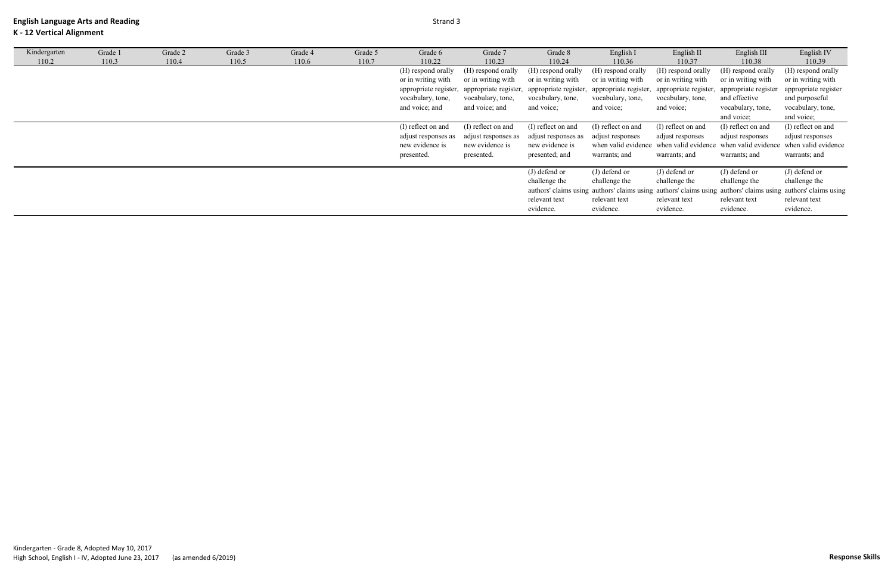## **K - 12 Vertical Alignment**

| Kindergarten | Grade 1 | Grade 2 | Grade 3 | Grade 4 | Grade 5 | Grade 6             | Grade 7                                     | Grade 8               | English I             | English II              | English III          | English IV                                                                                                    |
|--------------|---------|---------|---------|---------|---------|---------------------|---------------------------------------------|-----------------------|-----------------------|-------------------------|----------------------|---------------------------------------------------------------------------------------------------------------|
| 110.2        | 110.3   | 110.4   | 110.5   | 110.6   | 110.7   | 110.22              | 110.23                                      | 110.24                | 110.36                | 110.37                  | 110.38               | 110.39                                                                                                        |
|              |         |         |         |         |         | (H) respond orally  | (H) respond orally                          | (H) respond orally    | (H) respond orally    | (H) respond orally      | (H) respond orally   | (H) respond orally                                                                                            |
|              |         |         |         |         |         | or in writing with  | or in writing with                          | or in writing with    | or in writing with    | or in writing with      | or in writing with   | or in writing with                                                                                            |
|              |         |         |         |         |         |                     | appropriate register, appropriate register, | appropriate register, | appropriate register, | , appropriate register, | appropriate register | appropriate register                                                                                          |
|              |         |         |         |         |         | vocabulary, tone,   | vocabulary, tone,                           | vocabulary, tone,     | vocabulary, tone,     | vocabulary, tone,       | and effective        | and purposeful                                                                                                |
|              |         |         |         |         |         | and voice; and      | and voice; and                              | and voice;            | and voice;            | and voice;              | vocabulary, tone,    | vocabulary, tone,                                                                                             |
|              |         |         |         |         |         |                     |                                             |                       |                       |                         | and voice;           | and voice;                                                                                                    |
|              |         |         |         |         |         | (I) reflect on and  | (I) reflect on and                          | (I) reflect on and    | (I) reflect on and    | (I) reflect on and      | (I) reflect on and   | (I) reflect on and                                                                                            |
|              |         |         |         |         |         | adjust responses as | adjust responses as                         | adjust responses as   | adjust responses      | adjust responses        | adjust responses     | adjust responses                                                                                              |
|              |         |         |         |         |         | new evidence is     | new evidence is                             | new evidence is       |                       |                         |                      | when valid evidence when valid evidence when valid evidence when valid evidence                               |
|              |         |         |         |         |         | presented.          | presented.                                  | presented; and        | warrants; and         | warrants; and           | warrants; and        | warrants; and                                                                                                 |
|              |         |         |         |         |         |                     |                                             |                       |                       |                         |                      |                                                                                                               |
|              |         |         |         |         |         |                     |                                             | (J) defend or         | $(J)$ defend or       | (J) defend or           | $(J)$ defend or      | (J) defend or                                                                                                 |
|              |         |         |         |         |         |                     |                                             | challenge the         | challenge the         | challenge the           | challenge the        | challenge the                                                                                                 |
|              |         |         |         |         |         |                     |                                             |                       |                       |                         |                      | authors' claims using authors' claims using authors' claims using authors' claims using authors' claims using |
|              |         |         |         |         |         |                     |                                             | relevant text         | relevant text         | relevant text           | relevant text        | relevant text                                                                                                 |
|              |         |         |         |         |         |                     |                                             | evidence.             | evidence.             | evidence.               | evidence.            | evidence.                                                                                                     |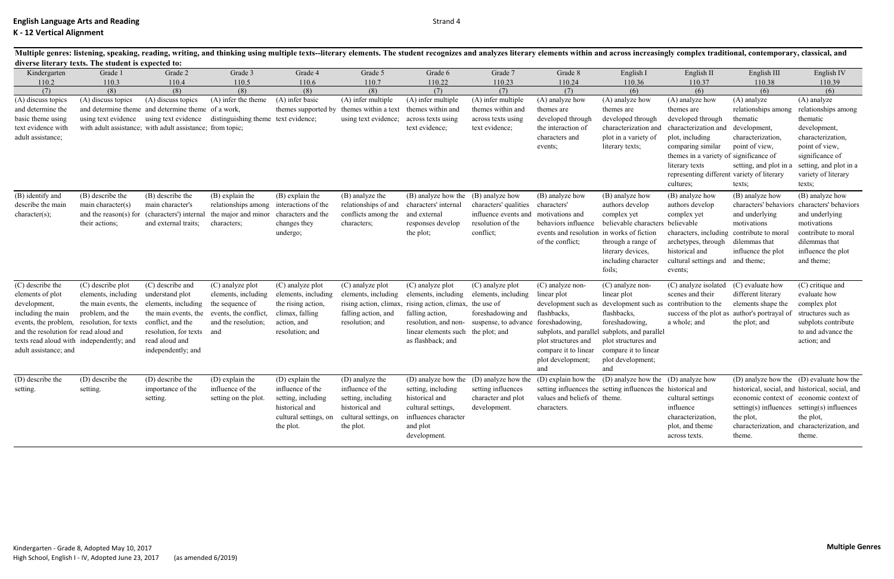|                                                                                                                                                                                          | diverse literary texts. The student is expected to:                                                                                |                                                                                                                                                                                                                      |                                                                                                                   |                                                                                                                    |                                                                                                                   |                                                                                                                                                 |                                                                                                                         |                                                                                                                                                                    |                                                                                                                                                                                                                     |                                                                                                                                                                                                                                           |                                                                                                                                             |                                                                                                                                                                                                                                       |
|------------------------------------------------------------------------------------------------------------------------------------------------------------------------------------------|------------------------------------------------------------------------------------------------------------------------------------|----------------------------------------------------------------------------------------------------------------------------------------------------------------------------------------------------------------------|-------------------------------------------------------------------------------------------------------------------|--------------------------------------------------------------------------------------------------------------------|-------------------------------------------------------------------------------------------------------------------|-------------------------------------------------------------------------------------------------------------------------------------------------|-------------------------------------------------------------------------------------------------------------------------|--------------------------------------------------------------------------------------------------------------------------------------------------------------------|---------------------------------------------------------------------------------------------------------------------------------------------------------------------------------------------------------------------|-------------------------------------------------------------------------------------------------------------------------------------------------------------------------------------------------------------------------------------------|---------------------------------------------------------------------------------------------------------------------------------------------|---------------------------------------------------------------------------------------------------------------------------------------------------------------------------------------------------------------------------------------|
| Kindergarten                                                                                                                                                                             | Grade 1                                                                                                                            | Grade 2                                                                                                                                                                                                              | Grade 3                                                                                                           | Grade 4                                                                                                            | Grade 5                                                                                                           | Grade 6                                                                                                                                         | Grade 7                                                                                                                 | Grade 8                                                                                                                                                            | English I                                                                                                                                                                                                           | English II                                                                                                                                                                                                                                | English III                                                                                                                                 | English IV                                                                                                                                                                                                                            |
| 110.2                                                                                                                                                                                    | 110.3                                                                                                                              | 110.4                                                                                                                                                                                                                | 110.5                                                                                                             | 110.6                                                                                                              | 110.7                                                                                                             | 110.22                                                                                                                                          | 110.23                                                                                                                  | 110.24                                                                                                                                                             | 110.36                                                                                                                                                                                                              | 110.37                                                                                                                                                                                                                                    | 110.38                                                                                                                                      | 110.39                                                                                                                                                                                                                                |
| (7)                                                                                                                                                                                      | (8)                                                                                                                                | (8)                                                                                                                                                                                                                  | (8)                                                                                                               | (8)                                                                                                                | (8)                                                                                                               | (7)                                                                                                                                             | (7)                                                                                                                     | (7)                                                                                                                                                                | (6)                                                                                                                                                                                                                 | (6)                                                                                                                                                                                                                                       | (6)                                                                                                                                         | (6)                                                                                                                                                                                                                                   |
| (A) discuss topics<br>and determine the<br>basic theme using<br>text evidence with<br>adult assistance;                                                                                  | (A) discuss topics                                                                                                                 | (A) discuss topics<br>and determine theme and determine theme of a work,<br>using text evidence using text evidence distinguishing theme text evidence;<br>with adult assistance; with adult assistance; from topic; | (A) infer the theme                                                                                               | (A) infer basic                                                                                                    | (A) infer multiple<br>themes supported by themes within a text<br>using text evidence;                            | (A) infer multiple<br>themes within and<br>across texts using<br>text evidence;                                                                 | (A) infer multiple<br>themes within and<br>across texts using<br>text evidence;                                         | (A) analyze how<br>themes are<br>developed through<br>the interaction of<br>characters and<br>events;                                                              | (A) analyze how<br>themes are<br>developed through<br>characterization and<br>plot in a variety of<br>literary texts;                                                                                               | (A) analyze how<br>themes are<br>developed through<br>characterization and<br>plot, including<br>comparing similar<br>themes in a variety of significance of<br>literary texts<br>representing different variety of literary<br>cultures; | $(A)$ analyze<br>relationships among<br>thematic<br>development,<br>characterization,<br>point of view,<br>setting, and plot in a<br>texts; | $(A)$ analyze<br>relationships among<br>thematic<br>development,<br>characterization,<br>point of view,<br>significance of<br>setting, and plot in a<br>variety of literary<br>texts;                                                 |
| (B) identify and<br>describe the main<br>character(s);                                                                                                                                   | (B) describe the<br>main character(s)<br>and the reason(s) for<br>their actions;                                                   | (B) describe the<br>main character's<br>(characters') internal<br>and external traits;                                                                                                                               | (B) explain the<br>relationships among<br>the major and minor<br>characters;                                      | (B) explain the<br>interactions of the<br>characters and the<br>changes they<br>undergo;                           | (B) analyze the<br>relationships of and<br>conflicts among the<br>characters;                                     | (B) analyze how the (B) analyze how<br>characters' internal<br>and external<br>responses develop<br>the plot;                                   | characters' qualities<br>influence events and<br>resolution of the<br>conflict;                                         | (B) analyze how<br>characters'<br>motivations and<br>behaviors influence<br>events and resolution in works of fiction<br>of the conflict;                          | (B) analyze how<br>authors develop<br>complex yet<br>believable characters<br>through a range of<br>literary devices,<br>including character<br>foils;                                                              | (B) analyze how<br>authors develop<br>complex yet<br>believable<br>characters, including<br>archetypes, through<br>historical and<br>cultural settings and and theme;<br>events;                                                          | (B) analyze how<br>and underlying<br>motivations<br>contribute to mora<br>dilemmas that<br>influence the plot                               | (B) analyze how<br>characters' behaviors characters' behaviors<br>and underlying<br>motivations<br>contribute to moral<br>dilemmas that<br>influence the plot<br>and theme;                                                           |
| (C) describe the<br>elements of plot<br>development,<br>including the main<br>and the resolution for read aloud and<br>texts read aloud with independently; and<br>adult assistance; and | (C) describe plot<br>elements, including<br>the main events, the<br>problem, and the<br>events, the problem, resolution, for texts | (C) describe and<br>understand plot<br>elements, including<br>the main events, the<br>conflict, and the<br>resolution, for texts<br>read aloud and<br>independently; and                                             | (C) analyze plot<br>elements, including<br>the sequence of<br>events, the conflict,<br>and the resolution;<br>and | (C) analyze plot<br>elements, including<br>the rising action,<br>climax, falling<br>action, and<br>resolution; and | (C) analyze plot<br>elements, including<br>rising action, climax<br>falling action, and<br>resolution; and        | (C) analyze plot<br>elements, including<br>rising action, climax,<br>falling action,<br>linear elements such the plot; and<br>as flashback; and | (C) analyze plot<br>elements, including<br>the use of<br>foreshadowing and<br>resolution, and non- suspense, to advance | (C) analyze non-<br>linear plot<br>development such as<br>flashbacks,<br>foreshadowing,<br>plot structures and<br>compare it to linear<br>plot development;<br>and | (C) analyze non-<br>linear plot<br>development such as<br>flashbacks,<br>foreshadowing,<br>subplots, and parallel subplots, and parallel<br>plot structures and<br>compare it to linear<br>plot development;<br>and | (C) analyze isolated<br>scenes and their<br>contribution to the<br>a whole; and                                                                                                                                                           | (C) evaluate how<br>different literary<br>elements shape the<br>success of the plot as author's portrayal of<br>the plot; and               | (C) critique and<br>evaluate how<br>complex plot<br>structures such as<br>subplots contribute<br>to and advance the<br>action; and                                                                                                    |
| (D) describe the<br>setting.                                                                                                                                                             | (D) describe the<br>setting.                                                                                                       | (D) describe the<br>importance of the<br>setting.                                                                                                                                                                    | (D) explain the<br>influence of the<br>setting on the plot.                                                       | (D) explain the<br>influence of the<br>setting, including<br>historical and<br>cultural settings, on<br>the plot.  | (D) analyze the<br>influence of the<br>setting, including<br>historical and<br>cultural settings, on<br>the plot. | setting, including<br>historical and<br>cultural settings,<br>influences character<br>and plot<br>development.                                  | (D) analyze how the (D) analyze how the<br>setting influences<br>character and plot<br>development.                     | values and beliefs of theme.<br>characters.                                                                                                                        | (D) explain how the (D) analyze how the (D) analyze how<br>setting influences the setting influences the historical and                                                                                             | cultural settings<br>influence<br>characterization,<br>plot, and theme<br>across texts.                                                                                                                                                   | the plot,<br>characterization, and<br>theme.                                                                                                | (D) analyze how the (D) evaluate how the<br>historical, social, and historical, social, and<br>economic context of economic context of<br>setting(s) influences setting(s) influences<br>the plot,<br>characterization, and<br>theme. |

Kindergarten - Grade 8, Adopted May 10, 2017 High School, English I - IV, Adopted June 23, 2017 (as amended 6/2019)

Multiple genres: listening, speaking, reading, writing, and thinking using multiple texts--literary elements. The student recognizes and analyzes literary elements within and across increasingly complex traditional, contem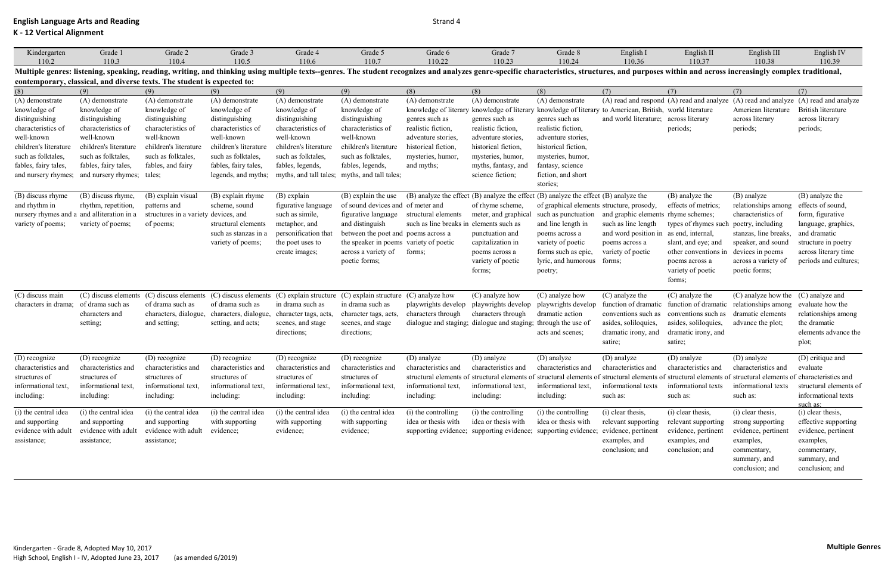**K - 12 Vertical Alignment**

Strand 4

| K - 12 Vertical Alignment |                                                                         |                                      |                       |                                                                                                                                                                                                                               |                                               |                                         |                       |                                                                                              |                                                              |                                               |                                                   |                                                                                     |
|---------------------------|-------------------------------------------------------------------------|--------------------------------------|-----------------------|-------------------------------------------------------------------------------------------------------------------------------------------------------------------------------------------------------------------------------|-----------------------------------------------|-----------------------------------------|-----------------------|----------------------------------------------------------------------------------------------|--------------------------------------------------------------|-----------------------------------------------|---------------------------------------------------|-------------------------------------------------------------------------------------|
| Kindergarten              | Grade 1                                                                 | Grade 2                              | Grade 3               | Grade 4                                                                                                                                                                                                                       | Grade 5                                       | Grade 6                                 | Grade 7               | Grade 8                                                                                      | English I                                                    | English II                                    | English III                                       | English IV                                                                          |
| 110.2                     | 110.3                                                                   | 110.4                                | 110.5                 | 110.6                                                                                                                                                                                                                         | 110.7                                         | 110.22                                  | 110.23                | 110.24                                                                                       | 110.36                                                       | 110.37                                        | 110.38                                            | 110.39                                                                              |
|                           |                                                                         |                                      |                       | Multiple genres: listening, speaking, reading, writing, and thinking using multiple texts-genres. The student recognizes and analyzes genre-specific characteristics, structures, and purposes within and across increasingly |                                               |                                         |                       |                                                                                              |                                                              |                                               |                                                   |                                                                                     |
|                           | contemporary, classical, and diverse texts. The student is expected to: |                                      |                       |                                                                                                                                                                                                                               |                                               |                                         |                       |                                                                                              |                                                              |                                               |                                                   |                                                                                     |
| (8)                       | (9)                                                                     | (9)                                  | (9)                   | (9)                                                                                                                                                                                                                           | (9)                                           | (8)                                     | (8)                   | (8)                                                                                          | (7)                                                          | (7)                                           | (7)                                               | (7)                                                                                 |
| (A) demonstrate           | (A) demonstrate                                                         | (A) demonstrate                      | (A) demonstrate       | (A) demonstrate                                                                                                                                                                                                               | (A) demonstrate                               | (A) demonstrate                         | (A) demonstrate       | (A) demonstrate                                                                              |                                                              |                                               |                                                   | (A) read and respond (A) read and analyze (A) read and analyze (A) read and analyze |
| knowledge of              | knowledge of                                                            | knowledge of                         | knowledge of          | knowledge of                                                                                                                                                                                                                  | knowledge of                                  | knowledge of literary                   | knowledge of literary |                                                                                              | knowledge of literary to American, British, world literature |                                               | American literature                               | British literature                                                                  |
| distinguishing            | distinguishing                                                          | distinguishing                       | distinguishing        | distinguishing                                                                                                                                                                                                                | distinguishing                                | genres such as                          | genres such as        | genres such as                                                                               | and world literature; across literary                        |                                               | across literary                                   | across literary                                                                     |
| characteristics of        | characteristics of                                                      | characteristics of                   | characteristics of    | characteristics of                                                                                                                                                                                                            | characteristics of                            | realistic fiction,                      | realistic fiction,    | realistic fiction,                                                                           |                                                              | periods;                                      | periods;                                          | periods;                                                                            |
| well-known                | well-known                                                              | well-known                           | well-known            | well-known                                                                                                                                                                                                                    | well-known                                    | adventure stories.                      | adventure stories     | adventure stories,                                                                           |                                                              |                                               |                                                   |                                                                                     |
| children's literature     | children's literature                                                   | children's literature                | children's literature | children's literature                                                                                                                                                                                                         | children's literature                         | historical fiction,                     | historical fiction,   | historical fiction,                                                                          |                                                              |                                               |                                                   |                                                                                     |
| such as folktales,        | such as folktales,                                                      | such as folktales,                   | such as folktales,    | such as folktales,                                                                                                                                                                                                            | such as folktales,                            | mysteries, humor,                       | mysteries, humor,     | mysteries, humor,                                                                            |                                                              |                                               |                                                   |                                                                                     |
| fables, fairy tales,      | fables, fairy tales,                                                    | fables, and fairy                    | fables, fairy tales,  | fables, legends,                                                                                                                                                                                                              | fables, legends,                              | and myths;                              | myths, fantasy, and   | fantasy, science                                                                             |                                                              |                                               |                                                   |                                                                                     |
|                           | and nursery rhymes; and nursery rhymes;                                 | tales;                               | legends, and myths;   |                                                                                                                                                                                                                               | myths, and tall tales; myths, and tall tales; |                                         | science fiction;      | fiction, and short                                                                           |                                                              |                                               |                                                   |                                                                                     |
|                           |                                                                         |                                      |                       |                                                                                                                                                                                                                               |                                               |                                         |                       | stories;                                                                                     |                                                              |                                               |                                                   |                                                                                     |
| (B) discuss rhyme         | (B) discuss rhyme,                                                      | (B) explain visual                   | (B) explain rhyme     | (B) explain                                                                                                                                                                                                                   | (B) explain the use                           |                                         |                       | $(B)$ analyze the effect $(B)$ analyze the effect $(B)$ analyze the effect $(B)$ analyze the |                                                              | (B) analyze the                               | (B) analyze                                       | (B) analyze the                                                                     |
| and rhythm in             | rhythm, repetition,                                                     | patterns and                         | scheme, sound         | figurative language                                                                                                                                                                                                           | of sound devices and of meter and             |                                         | of rhyme scheme,      | of graphical elements structure, prosody,                                                    |                                                              | effects of metrics;                           | relationships among                               | effects of sound,                                                                   |
|                           | nursery rhymes and a and alliteration in a                              | structures in a variety devices, and |                       | such as simile,                                                                                                                                                                                                               | figurative language                           | structural elements                     | meter, and graphical  | such as punctuation                                                                          | and graphic elements rhyme schemes;                          |                                               | characteristics of                                | form, figurative                                                                    |
| variety of poems;         | variety of poems;                                                       | of poems;                            | structural elements   | metaphor, and                                                                                                                                                                                                                 | and distinguish                               | such as line breaks in elements such as |                       | and line length in                                                                           | such as line length                                          | types of rhymes such                          | poetry, including                                 | language, graphics,                                                                 |
|                           |                                                                         |                                      | such as stanzas in a  | personification that                                                                                                                                                                                                          | between the poet and poems across a           |                                         | punctuation and       | poems across a                                                                               | and word position in as end, internal,                       |                                               | stanzas, line breaks,                             | and dramatic                                                                        |
|                           |                                                                         |                                      | variety of poems;     | the poet uses to                                                                                                                                                                                                              | the speaker in poems variety of poetic        |                                         | capitalization in     | variety of poetic                                                                            | poems across a                                               | slant, and eye; and                           | speaker, and sound                                | structure in poetry                                                                 |
|                           |                                                                         |                                      |                       | create images;                                                                                                                                                                                                                | across a variety of                           | forms;                                  | poems across a        | forms such as epic,                                                                          | variety of poetic                                            | other conventions in                          | devices in poems                                  | across literary time                                                                |
|                           |                                                                         |                                      |                       |                                                                                                                                                                                                                               | poetic forms;                                 |                                         | variety of poetic     | lyric, and humorous                                                                          | forms:                                                       | poems across a                                | across a variety of                               | periods and cultures;                                                               |
|                           |                                                                         |                                      |                       |                                                                                                                                                                                                                               |                                               |                                         |                       |                                                                                              |                                                              | $\mathcal{L}$ . The contract of $\mathcal{L}$ | $\mathcal{L}$ and $\mathcal{L}$ and $\mathcal{L}$ |                                                                                     |

| (B) discuss rhyme                                                                          | (B) discuss rhyme,                                                                         | (B) explain visual                                                                                                                                | (B) explain rhyme                                                                         | (B) explain                                                                                                           | (B) explain the use                                                                                                                                                                                  |                                                                                                   | $(B)$ analyze the effect $(B)$ analyze the effect $(B)$ analyze the effect $(B)$ analyze the                                     |                                                                                                                                                                                        |                                                                                                                                     | (B) analyze the                                                                                                                                                  | (B) analyze                                                                                                                                                               | (B) analyze the                                                                                                                                      |
|--------------------------------------------------------------------------------------------|--------------------------------------------------------------------------------------------|---------------------------------------------------------------------------------------------------------------------------------------------------|-------------------------------------------------------------------------------------------|-----------------------------------------------------------------------------------------------------------------------|------------------------------------------------------------------------------------------------------------------------------------------------------------------------------------------------------|---------------------------------------------------------------------------------------------------|----------------------------------------------------------------------------------------------------------------------------------|----------------------------------------------------------------------------------------------------------------------------------------------------------------------------------------|-------------------------------------------------------------------------------------------------------------------------------------|------------------------------------------------------------------------------------------------------------------------------------------------------------------|---------------------------------------------------------------------------------------------------------------------------------------------------------------------------|------------------------------------------------------------------------------------------------------------------------------------------------------|
| and rhythm in<br>nursery rhymes and<br>variety of poems;                                   | rhythm, repetition,<br>a and alliteration in a<br>variety of poems;                        | patterns and<br>structures in a variety devices, and<br>of poems;                                                                                 | scheme, sound<br>structural elements<br>such as stanzas in a<br>variety of poems;         | figurative language<br>such as simile,<br>metaphor, and<br>personification that<br>the poet uses to<br>create images; | of sound devices and of meter and<br>figurative language<br>and distinguish<br>between the poet and poems across a<br>the speaker in poems variety of poetic<br>across a variety of<br>poetic forms; | structural elements<br>such as line breaks in elements such as<br>forms;                          | of rhyme scheme,<br>meter, and graphica<br>punctuation and<br>capitalization in<br>poems across a<br>variety of poetic<br>forms; | of graphical elements structure, prosody,<br>such as punctuation<br>and line length in<br>poems across a<br>variety of poetic<br>forms such as epic.<br>lyric, and humorous<br>poetry; | and graphic elements rhyme schemes;<br>such as line length<br>and word position in<br>poems across a<br>variety of poetic<br>forms; | effects of metrics;<br>types of rhymes such<br>as end, internal,<br>slant, and eye; and<br>other conventions in<br>poems across a<br>variety of poetic<br>forms; | relationships among<br>characteristics of<br>poetry, including<br>stanzas, line breaks,<br>speaker, and sound<br>devices in poems<br>across a variety of<br>poetic forms; | effects of sound,<br>form, figurative<br>language, graphics,<br>and dramatic<br>structure in poetry<br>across literary time<br>periods and cultures; |
| (C) discuss main<br>characters in drama:                                                   | of drama such as<br>characters and<br>setting;                                             | (C) discuss elements (C) discuss elements (C) discuss elements (C) explain structure<br>of drama such as<br>characters, dialogue,<br>and setting; | of drama such as<br>characters, dialogue,<br>setting, and acts;                           | in drama such as<br>character tags, acts,<br>scenes, and stage<br>directions;                                         | (C) explain structure<br>in drama such as<br>character tags, acts,<br>scenes, and stage<br>directions;                                                                                               | (C) analyze how<br>playwrights develop<br>characters through                                      | (C) analyze how<br>playwrights develop<br>characters through<br>dialogue and staging; dialogue and staging; through the use of   | (C) analyze how<br>playwrights develop<br>dramatic action<br>acts and scenes;                                                                                                          | (C) analyze the<br>function of dramatic<br>conventions such as<br>asides, soliloquies,<br>dramatic irony, and<br>satire;            | (C) analyze the<br>function of dramatic<br>conventions such as<br>asides, soliloquies,<br>dramatic irony, and<br>satire;                                         | (C) analyze how the<br>relationships among<br>dramatic elements<br>advance the plot;                                                                                      | (C) analyze and<br>evaluate how the<br>relationships among<br>the dramatic<br>elements advance the<br>plot;                                          |
| (D) recognize<br>characteristics and<br>structures of<br>informational text,<br>including: | (D) recognize<br>characteristics and<br>structures of<br>informational text,<br>including: | (D) recognize<br>characteristics and<br>structures of<br>informational text.<br>including:                                                        | (D) recognize<br>characteristics and<br>structures of<br>informational text<br>including: | (D) recognize<br>characteristics and<br>structures of<br>informational text,<br>including:                            | (D) recognize<br>characteristics and<br>structures of<br>informational text,<br>including:                                                                                                           | (D) analyze<br>characteristics and<br>structural elements of<br>informational text.<br>including: | (D) analyze<br>characteristics and<br>structural elements of<br>informational text.<br>including:                                | (D) analyze<br>characteristics and<br>structural elements of<br>informational text.<br>including:                                                                                      | (D) analyze<br>characteristics and<br>`structural elements o<br>informational texts<br>such as:                                     | (D) analyze<br>characteristics and<br>informational texts<br>such as:                                                                                            | (D) analyze<br>characteristics and<br>structural elements of structural elements of characteristics and<br>informational texts<br>such as:                                | (D) critique and<br>evaluate<br>structural elements of<br>informational texts<br>such as:                                                            |
| (i) the central idea<br>and supporting<br>evidence with adult<br>assistance;               | (i) the central idea<br>and supporting<br>evidence with adult<br>assistance;               | (i) the central idea<br>and supporting<br>evidence with adult<br>assistance;                                                                      | (i) the central idea<br>with supporting<br>evidence;                                      | (i) the central idea<br>with supporting<br>evidence;                                                                  | (i) the central idea<br>with supporting<br>evidence;                                                                                                                                                 | (i) the controlling<br>idea or thesis with                                                        | (i) the controlling<br>idea or thesis with<br>supporting evidence; supporting evidence; supporting evidence;                     | (i) the controlling<br>idea or thesis with                                                                                                                                             | (i) clear thesis,<br>relevant supporting<br>evidence, pertinent<br>examples, and<br>conclusion; and                                 | (i) clear thesis,<br>relevant supporting<br>evidence, pertinent<br>examples, and<br>conclusion; and                                                              | (i) clear thesis,<br>strong supporting<br>evidence, pertinen<br>examples,<br>commentary,<br>summary, and<br>conclusion; and                                               | (i) clear thesis,<br>effective supporting<br>evidence, pertinent<br>examples,<br>commentary,<br>summary, and<br>conclusion; and                      |

Kindergarten - Grade 8, Adopted May 10, 2017 High School, English I - IV, Adopted June 23, 2017 (as amended 6/2019)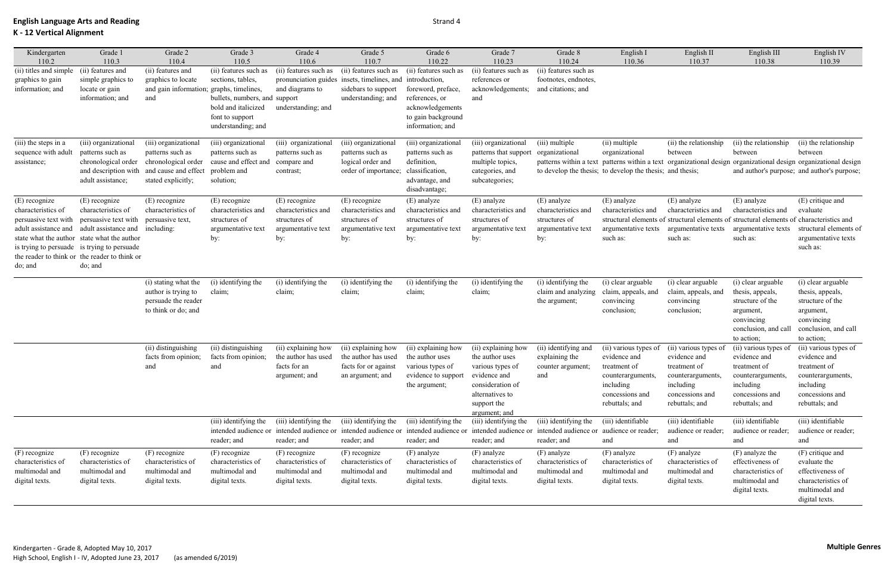| Kindergarten                                | Grade 1                                       | Grade 2                                  | Grade 3                       | Grade 4                                   | Grade 5                | Grade 6               | Grade 7                                     | Grade 8                                                       | English I             | English II                                                          | English III                                                       | English IV             |
|---------------------------------------------|-----------------------------------------------|------------------------------------------|-------------------------------|-------------------------------------------|------------------------|-----------------------|---------------------------------------------|---------------------------------------------------------------|-----------------------|---------------------------------------------------------------------|-------------------------------------------------------------------|------------------------|
| 110.2                                       | 110.3                                         | 110.4                                    | 110.5                         | 110.6                                     | 110.7                  | 110.22                | 110.23                                      | 110.24                                                        | 110.36                | 110.37                                                              | 110.38                                                            | 110.39                 |
| (ii) titles and simple                      | (ii) features and                             | (ii) features and                        | (ii) features such as         | (ii) features such as                     | (ii) features such as  | (ii) features such as | (ii) features such as                       | (ii) features such as                                         |                       |                                                                     |                                                                   |                        |
| graphics to gain                            | simple graphics to                            | graphics to locate                       | sections, tables,             | pronunciation guides                      | insets, timelines, and | introduction,         | references or                               | footnotes, endnotes,                                          |                       |                                                                     |                                                                   |                        |
| information; and                            | locate or gain                                | and gain information; graphs, timelines, |                               | and diagrams to                           | sidebars to support    | foreword, preface,    | acknowledgements;                           | and citations; and                                            |                       |                                                                     |                                                                   |                        |
|                                             | information; and                              | and                                      | bullets, numbers, and support |                                           | understanding; and     | references, or        | and                                         |                                                               |                       |                                                                     |                                                                   |                        |
|                                             |                                               |                                          | bold and italicized           | understanding; and                        |                        | acknowledgements      |                                             |                                                               |                       |                                                                     |                                                                   |                        |
|                                             |                                               |                                          | font to support               |                                           |                        | to gain background    |                                             |                                                               |                       |                                                                     |                                                                   |                        |
|                                             |                                               |                                          | understanding; and            |                                           |                        | information; and      |                                             |                                                               |                       |                                                                     |                                                                   |                        |
| (iii) the steps in a                        | (iii) organizational                          | (iii) organizational                     | (iii) organizational          | (iii) organizational                      | (iii) organizational   | (iii) organizational  | (iii) organizational                        | (iii) multiple                                                | (ii) multiple         | (ii) the relationship                                               | (ii) the relationship                                             | (ii) the relationship  |
| sequence with adult                         | patterns such as                              | patterns such as                         | patterns such as              | patterns such as                          | patterns such as       | patterns such as      | patterns that support                       | organizational                                                | organizational        | between                                                             | between                                                           | between                |
| assistance;                                 | chronological order                           | chronological order                      | cause and effect and          | compare and                               | logical order and      | definition,           | multiple topics,                            |                                                               |                       | patterns within a text patterns within a text organizational design | organizational design organizational design                       |                        |
|                                             | and description with                          | and cause and effect                     | problem and                   | contrast;                                 | order of importance;   | classification,       | categories, and                             | to develop the thesis; to develop the thesis; and thesis;     |                       |                                                                     | and author's purpose; and author's purpose;                       |                        |
|                                             | adult assistance;                             | stated explicitly;                       | solution;                     |                                           |                        | advantage, and        | subcategories;                              |                                                               |                       |                                                                     |                                                                   |                        |
|                                             |                                               |                                          |                               |                                           |                        | disadvantage;         |                                             |                                                               |                       |                                                                     |                                                                   |                        |
| (E) recognize                               | (E) recognize                                 | (E) recognize                            | (E) recognize                 | (E) recognize                             | (E) recognize          | (E) analyze           | (E) analyze                                 | (E) analyze                                                   | (E) analyze           | (E) analyze                                                         | (E) analyze                                                       | (E) critique and       |
| characteristics of                          | characteristics of                            | characteristics of                       | characteristics and           | characteristics and                       | characteristics and    | characteristics and   | characteristics and                         | characteristics and                                           | characteristics and   | characteristics and                                                 | characteristics and                                               | evaluate               |
| persuasive text with                        | persuasive text with                          | persuasive text,                         | structures of                 | structures of                             | structures of          | structures of         | structures of                               | structures of                                                 | structural elements o |                                                                     | structural elements of structural elements of characteristics and |                        |
|                                             | adult assistance and adult assistance and     | including:                               | argumentative text            | argumentative text                        | argumentative text     | argumentative text    | argumentative text                          | argumentative text                                            | argumentative texts   | argumentative texts                                                 | argumentative texts                                               | structural elements of |
|                                             | state what the author state what the author   |                                          | by:                           | by:                                       | by:                    | by:                   | by:                                         | by:                                                           | such as:              | such as:                                                            | such as:                                                          | argumentative texts    |
| is trying to persuade is trying to persuade |                                               |                                          |                               |                                           |                        |                       |                                             |                                                               |                       |                                                                     |                                                                   | such as:               |
|                                             | the reader to think or the reader to think or |                                          |                               |                                           |                        |                       |                                             |                                                               |                       |                                                                     |                                                                   |                        |
| do; and                                     | do; and                                       |                                          |                               |                                           |                        |                       |                                             |                                                               |                       |                                                                     |                                                                   |                        |
|                                             |                                               | (i) stating what the                     | (i) identifying the           | (i) identifying the                       | (i) identifying the    | (i) identifying the   | (i) identifying the                         | (i) identifying the                                           | (i) clear arguable    | (i) clear arguable                                                  | (i) clear arguable                                                | (i) clear arguable     |
|                                             |                                               | author is trying to                      | claim;                        | claim;                                    | claim;                 | claim;                | claim;                                      | claim and analyzing                                           | claim, appeals, and   | claim, appeals, and                                                 | thesis, appeals,                                                  | thesis, appeals,       |
|                                             |                                               | persuade the reader                      |                               |                                           |                        |                       |                                             | the argument;                                                 | convincing            | convincing                                                          | structure of the                                                  | structure of the       |
|                                             |                                               | to think or do; and                      |                               |                                           |                        |                       |                                             |                                                               | conclusion;           | conclusion;                                                         | argument,                                                         | argument,              |
|                                             |                                               |                                          |                               |                                           |                        |                       |                                             |                                                               |                       |                                                                     | convincing                                                        | convincing             |
|                                             |                                               |                                          |                               |                                           |                        |                       |                                             |                                                               |                       |                                                                     | conclusion, and cal                                               | conclusion, and call   |
|                                             |                                               |                                          |                               |                                           |                        |                       |                                             |                                                               |                       |                                                                     | to action;                                                        | to action;             |
|                                             |                                               | (ii) distinguishing                      | (ii) distinguishing           | (ii) explaining how                       | (ii) explaining how    | (ii) explaining how   | (ii) explaining how                         | (ii) identifying and                                          | (ii) various types of | (ii) various types of                                               | (ii) various types o                                              | (ii) various types of  |
|                                             |                                               | facts from opinion;                      | facts from opinion;           | the author has used                       | the author has used    | the author uses       | the author uses                             | explaining the                                                | evidence and          | evidence and                                                        | evidence and                                                      | evidence and           |
|                                             |                                               | and                                      | and                           | facts for an                              | facts for or against   | various types of      | various types of                            | counter argument;                                             | treatment of          | treatment of                                                        | treatment of                                                      | treatment of           |
|                                             |                                               |                                          |                               | argument; and                             | an argument; and       | evidence to support   | evidence and                                | and                                                           | counterarguments,     | counterarguments,                                                   | counterarguments                                                  | counterarguments,      |
|                                             |                                               |                                          |                               |                                           |                        | the argument;         | consideration of                            |                                                               | including             | including                                                           | including                                                         | including              |
|                                             |                                               |                                          |                               |                                           |                        |                       | alternatives to                             |                                                               | concessions and       | concessions and                                                     | concessions and                                                   | concessions and        |
|                                             |                                               |                                          |                               |                                           |                        |                       | support the<br>argument; and                |                                                               | rebuttals; and        | rebuttals; and                                                      | rebuttals; and                                                    | rebuttals; and         |
|                                             |                                               |                                          | (iii) identifying the         | (iii) identifying the                     | (iii) identifying the  | (iii) identifying the | $\overline{(\mathsf{iii})}$ identifying the | (iii) identifying the                                         | (iii) identifiable    | (iii) identifiable                                                  | (iii) identifiable                                                | (iii) identifiable     |
|                                             |                                               |                                          |                               | intended audience or intended audience or | intended audience or   | intended audience or  |                                             | intended audience or intended audience or audience or reader; |                       | audience or reader;                                                 | audience or reader;                                               | audience or reader;    |
|                                             |                                               |                                          | reader; and                   | reader; and                               | reader; and            | reader; and           | reader; and                                 | reader; and                                                   | and                   | and                                                                 | and                                                               | and                    |
| (F) recognize                               | $(F)$ recognize                               | (F) recognize                            | (F) recognize                 | (F) recognize                             | (F) recognize          | (F) analyze           | (F) analyze                                 | (F) analyze                                                   | (F) analyze           | (F) analyze                                                         | (F) analyze the                                                   | (F) critique and       |
| characteristics of                          | characteristics of                            | characteristics of                       | characteristics of            | characteristics of                        | characteristics of     | characteristics of    | characteristics of                          | characteristics of                                            | characteristics of    | characteristics of                                                  | effectiveness of                                                  | evaluate the           |
| multimodal and                              | multimodal and                                | multimodal and                           | multimodal and                | multimodal and                            | multimodal and         | multimodal and        | multimodal and                              | multimodal and                                                | multimodal and        | multimodal and                                                      | characteristics of                                                | effectiveness of       |
| digital texts.                              | digital texts.                                | digital texts.                           | digital texts.                | digital texts.                            | digital texts.         | digital texts.        | digital texts.                              | digital texts.                                                | digital texts.        | digital texts.                                                      | multimodal and                                                    | characteristics of     |
|                                             |                                               |                                          |                               |                                           |                        |                       |                                             |                                                               |                       |                                                                     | digital texts.                                                    | multimodal and         |
|                                             |                                               |                                          |                               |                                           |                        |                       |                                             |                                                               |                       |                                                                     |                                                                   | digital texts.         |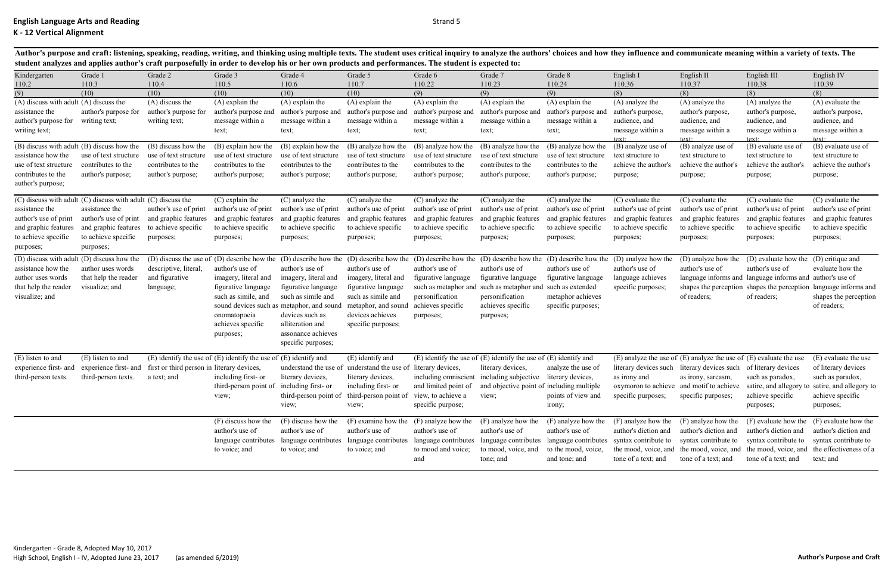| Kindergarten<br>110.2                                                                                                                                                | Grade 1<br>110.3                                                                                    | Grade 2<br>110.4                                                                        | Grade 3<br>110.5                                                                                                                        | Grade 4<br>110.6                                                                                                                                                                                                     | Grade 5<br>110.7                                                                                                                                                                             | Grade 6<br>110.22                                                                                                   | Grade 7<br>110.23                                                                                                                                                                                                                                                                               | Grade 8<br>110.24                                                                                     | English I<br>110.36                                                                                                                                                                                 | English II<br>110.37                                                                                                                                              | English III<br>110.38                                                                                                                | English IV<br>110.39                                                                                                                                                                         |
|----------------------------------------------------------------------------------------------------------------------------------------------------------------------|-----------------------------------------------------------------------------------------------------|-----------------------------------------------------------------------------------------|-----------------------------------------------------------------------------------------------------------------------------------------|----------------------------------------------------------------------------------------------------------------------------------------------------------------------------------------------------------------------|----------------------------------------------------------------------------------------------------------------------------------------------------------------------------------------------|---------------------------------------------------------------------------------------------------------------------|-------------------------------------------------------------------------------------------------------------------------------------------------------------------------------------------------------------------------------------------------------------------------------------------------|-------------------------------------------------------------------------------------------------------|-----------------------------------------------------------------------------------------------------------------------------------------------------------------------------------------------------|-------------------------------------------------------------------------------------------------------------------------------------------------------------------|--------------------------------------------------------------------------------------------------------------------------------------|----------------------------------------------------------------------------------------------------------------------------------------------------------------------------------------------|
| (9)                                                                                                                                                                  | (10)                                                                                                | (10)                                                                                    | (10)                                                                                                                                    | (10)                                                                                                                                                                                                                 | (10)                                                                                                                                                                                         | (9)                                                                                                                 | (9)                                                                                                                                                                                                                                                                                             | (9)                                                                                                   | (8)                                                                                                                                                                                                 | (8)                                                                                                                                                               | (8)                                                                                                                                  | (8)                                                                                                                                                                                          |
| (A) discuss with adult (A) discuss the<br>assistance the<br>author's purpose for<br>writing text;                                                                    | author's purpose for<br>writing text;                                                               | (A) discuss the<br>author's purpose for<br>writing text;                                | $(A)$ explain the<br>author's purpose and<br>message within a<br>text;                                                                  | (A) explain the<br>author's purpose and<br>message within a<br>text;                                                                                                                                                 | (A) explain the<br>author's purpose and<br>message within a<br>text;                                                                                                                         | (A) explain the<br>author's purpose and<br>message within a<br>text;                                                | $(A)$ explain the<br>author's purpose and<br>message within a<br>text;                                                                                                                                                                                                                          | (A) explain the<br>author's purpose and<br>message within a<br>text;                                  | (A) analyze the<br>author's purpose,<br>audience, and<br>message within a                                                                                                                           | (A) analyze the<br>author's purpose,<br>audience, and<br>message within a<br>text <sup>.</sup>                                                                    | (A) analyze the<br>author's purpose,<br>audience, and<br>message within a                                                            | (A) evaluate the<br>author's purpose,<br>audience, and<br>message within a<br>$text{text}$                                                                                                   |
| (B) discuss with adult (B) discuss how the<br>assistance how the<br>use of text structure<br>contributes to the<br>author's purpose;                                 | use of text structure<br>contributes to the<br>author's purpose;                                    | (B) discuss how the<br>use of text structure<br>contributes to the<br>author's purpose; | (B) explain how the<br>use of text structure<br>contributes to the<br>author's purpose;                                                 | (B) explain how the<br>use of text structure<br>contributes to the<br>author's purpose;                                                                                                                              | (B) analyze how the<br>use of text structure<br>contributes to the<br>author's purpose;                                                                                                      | (B) analyze how the<br>use of text structure<br>contributes to the<br>author's purpose;                             | (B) analyze how the<br>use of text structure<br>contributes to the<br>author's purpose;                                                                                                                                                                                                         | (B) analyze how the<br>use of text structure<br>contributes to the<br>author's purpose;               | $text{text}$<br>(B) analyze use of<br>text structure to<br>achieve the author's<br>purpose;                                                                                                         | (B) analyze use of<br>text structure to<br>achieve the author's<br>purpose;                                                                                       | text <sup>.</sup><br>(B) evaluate use of<br>text structure to<br>achieve the author's<br>purpose;                                    | (B) evaluate use of<br>text structure to<br>achieve the author's<br>purpose;                                                                                                                 |
| (C) discuss with adult (C) discuss with adult (C) discuss the<br>assistance the<br>author's use of print<br>and graphic features<br>to achieve specific<br>purposes; | assistance the<br>author's use of print<br>and graphic features<br>to achieve specific<br>purposes; | author's use of print<br>and graphic features<br>to achieve specific<br>purposes;       | (C) explain the<br>author's use of print<br>and graphic features<br>to achieve specific<br>purposes;                                    | (C) analyze the<br>author's use of print<br>and graphic features<br>to achieve specific<br>purposes;                                                                                                                 | (C) analyze the<br>author's use of print<br>and graphic features<br>to achieve specific<br>purposes;                                                                                         | (C) analyze the<br>author's use of print<br>and graphic features<br>to achieve specific<br>purposes;                | (C) analyze the<br>author's use of print<br>and graphic features<br>to achieve specific<br>purposes;                                                                                                                                                                                            | (C) analyze the<br>author's use of print<br>and graphic features<br>to achieve specific<br>purposes;  | (C) evaluate the<br>author's use of print<br>and graphic features<br>to achieve specific<br>purposes;                                                                                               | (C) evaluate the<br>author's use of print<br>and graphic features<br>to achieve specific<br>purposes;                                                             | (C) evaluate the<br>author's use of print<br>and graphic features<br>to achieve specific<br>purposes;                                | (C) evaluate the<br>author's use of print<br>and graphic features<br>to achieve specific<br>purposes;                                                                                        |
| (D) discuss with adult (D) discuss how the<br>assistance how the<br>author uses words<br>that help the reader<br>visualize; and                                      | author uses words<br>that help the reader<br>visualize; and                                         | descriptive, literal,<br>and figurative<br>language;                                    | author's use of<br>imagery, literal and<br>figurative language<br>such as simile, and<br>onomatopoeia<br>achieves specific<br>purposes; | author's use of<br>imagery, literal and<br>figurative language<br>such as simile and<br>sound devices such as metaphor, and sound<br>devices such as<br>alliteration and<br>assonance achieves<br>specific purposes; | author's use of<br>imagery, literal and<br>figurative language<br>such as simile and<br>metaphor, and sound<br>devices achieves<br>specific purposes;                                        | author's use of<br>figurative language<br>such as metaphor and<br>personification<br>achieves specific<br>purposes; | (D) discuss the use of (D) describe how the (D) describe how the (D) describe how the (D) describe how the (D) describe how the (D) describe how the (D) analyze how the<br>author's use of<br>figurative language<br>such as metaphor and<br>personification<br>achieves specific<br>purposes; | author's use of<br>figurative language<br>such as extended<br>metaphor achieves<br>specific purposes; | author's use of<br>language achieves<br>specific purposes;                                                                                                                                          | (D) analyze how the<br>author's use of<br>of readers;                                                                                                             | (D) evaluate how the (D) critique and<br>author's use of<br>language informs and language informs and author's use of<br>of readers; | evaluate how the<br>shapes the perception shapes the perception language informs and<br>shapes the perception<br>of readers;                                                                 |
| (E) listen to and<br>experience first- and<br>third-person texts.                                                                                                    | (E) listen to and<br>experience first- and<br>third-person texts.                                   | first or third person in literary devices,<br>a text; and                               | $(E)$ identify the use of $(E)$ identify the use of $(E)$ identify and<br>including first- or<br>third-person point of<br>view;         | literary devices,<br>including first- or<br>view;                                                                                                                                                                    | (E) identify and<br>understand the use of understand the use of<br>literary devices,<br>including first- or<br>third-person point of third-person point of view, to achieve a view;<br>view; | literary devices,<br>including omniscient<br>and limited point of<br>specific purpose;                              | $(E)$ identify the use of $(E)$ identify the use of $(E)$ identify and<br>literary devices,<br>including subjective literary devices,<br>and objective point of including multiple                                                                                                              | analyze the use of<br>points of view and<br>irony;                                                    | as irony and<br>specific purposes; specific purposes; achieve specific                                                                                                                              | $(E)$ analyze the use of $(E)$ analyze the use of $(E)$ evaluate the use<br>literary devices such literary devices such of literary devices<br>as irony, sarcasm, | such as paradox,<br>purposes;                                                                                                        | (E) evaluate the use<br>of literary devices<br>such as paradox,<br>oxymoron to achieve and motif to achieve satire, and allegory to satire, and allegory to<br>achieve specific<br>purposes; |
|                                                                                                                                                                      |                                                                                                     |                                                                                         | (F) discuss how the<br>author's use of<br>to voice; and                                                                                 | (F) discuss how the<br>author's use of<br>language contributes language contributes<br>to voice; and                                                                                                                 | (F) examine how the<br>author's use of<br>language contributes<br>to voice; and                                                                                                              | (F) analyze how the<br>author's use of<br>language contributes<br>to mood and voice;<br>and                         | (F) analyze how the<br>author's use of<br>to mood, voice, and<br>tone; and                                                                                                                                                                                                                      | (F) analyze how the<br>author's use of<br>to the mood, voice,<br>and tone; and                        | (F) analyze how the<br>author's diction and<br>language contributes language contributes syntax contribute to syntax contribute to syntax contribute to syntax contribute to<br>tone of a text; and | (F) analyze how the<br>author's diction and<br>tone of a text; and                                                                                                | $(F)$ evaluate how the $(F)$ evaluate how the<br>author's diction and<br>tone of a text; and                                         | author's diction and<br>the mood, voice, and the mood, voice, and the mood, voice, and the effectiveness of a<br>text; and                                                                   |

Author's purpose and craft: listening, speaking, reading, writing, and thinking using multiple texts. The student uses critical inquiry to analyze the authors' choices and how they influence and communicate meaning within **student analyzes and applies author's craft purposefully in order to develop his or her own products and performances. The student is expected to:**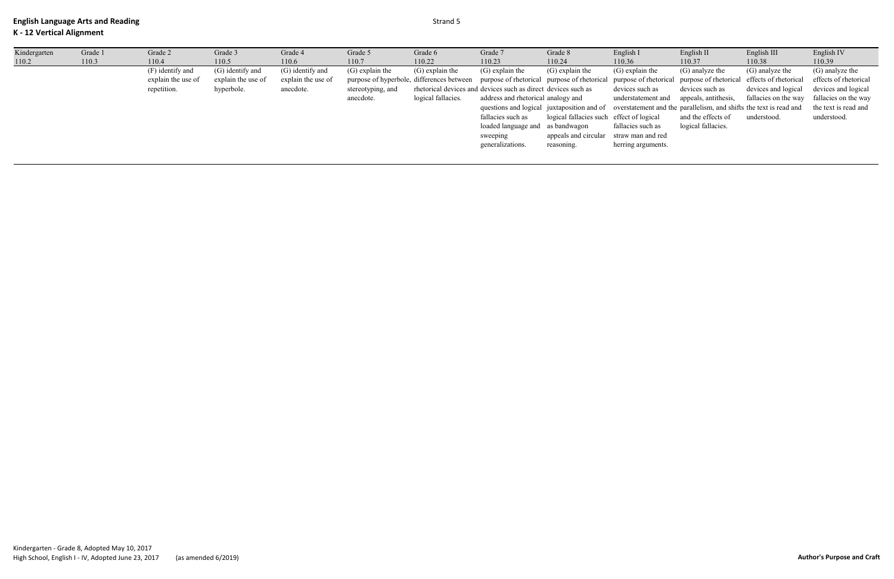| Kindergarten | Grade 1 | Grade 2            | Grade 3            | Grade 4            | Grade 5           | Grade 6            | Grade 7                                                                                                                                                 | Grade 8                                  | English I          | English II                                                                                                    | English III          | English IV            |
|--------------|---------|--------------------|--------------------|--------------------|-------------------|--------------------|---------------------------------------------------------------------------------------------------------------------------------------------------------|------------------------------------------|--------------------|---------------------------------------------------------------------------------------------------------------|----------------------|-----------------------|
| 110.2        | 110.3   | 110.4              | 110.5              | 110.6              | 110.7             | 110.22             | 110.23                                                                                                                                                  | 110.24                                   | 110.36             | 110.37                                                                                                        | 110.38               | 110.39                |
|              |         | (F) identify and   | (G) identify and   | (G) identify and   | $(G)$ explain the | $(G)$ explain the  | $(G)$ explain the                                                                                                                                       | $(G)$ explain the                        | $(G)$ explain the  | (G) analyze the                                                                                               | (G) analyze the      | (G) analyze the       |
|              |         | explain the use of | explain the use of | explain the use of |                   |                    | purpose of hyperbole, differences between purpose of rhetorical purpose of rhetorical purpose of rhetorical purpose of rhetorical effects of rhetorical |                                          |                    |                                                                                                               |                      | effects of rhetorical |
|              |         | repetition.        | hyperbole.         | anecdote.          | stereotyping, and |                    | rhetorical devices and devices such as direct devices such as                                                                                           |                                          | devices such as    | devices such as                                                                                               | devices and logical  | devices and logical   |
|              |         |                    |                    |                    | anecdote.         | logical fallacies. | address and rhetorical analogy and                                                                                                                      |                                          | understatement and | appeals, antithesis,                                                                                          | fallacies on the way | fallacies on the way  |
|              |         |                    |                    |                    |                   |                    |                                                                                                                                                         |                                          |                    | questions and logical juxtaposition and of overstatement and the parallelism, and shifts the text is read and |                      | the text is read and  |
|              |         |                    |                    |                    |                   |                    | fallacies such as                                                                                                                                       | logical fallacies such effect of logical |                    | and the effects of                                                                                            | understood.          | understood.           |
|              |         |                    |                    |                    |                   |                    | loaded language and as bandwagon                                                                                                                        |                                          | fallacies such as  | logical fallacies.                                                                                            |                      |                       |
|              |         |                    |                    |                    |                   |                    | sweeping                                                                                                                                                | appeals and circular straw man and red   |                    |                                                                                                               |                      |                       |
|              |         |                    |                    |                    |                   |                    | generalizations.                                                                                                                                        | reasoning.                               | herring arguments. |                                                                                                               |                      |                       |
|              |         |                    |                    |                    |                   |                    |                                                                                                                                                         |                                          |                    |                                                                                                               |                      |                       |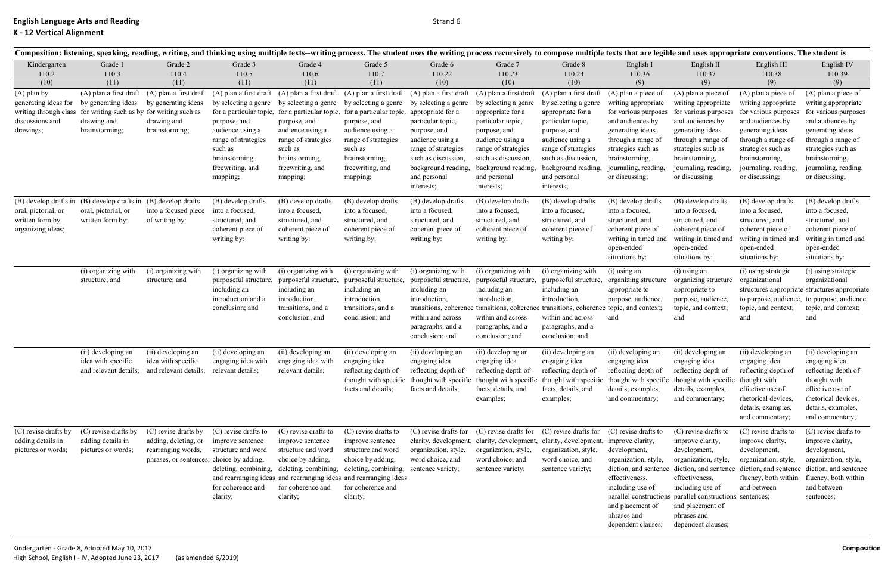|                                                                                                        |                                                                                                                                      |                                                                                                                |                                                                                                                                                                                |                                                                                                                                                                                                                                   | Composition: listening, speaking, reading, writing, and thinking using multiple texts--writing process. The student uses the writing process recursively to compose multiple texts that are legible and uses appropriate conve |                                                                                                                                                                                                                                         |                                                                                                                                                                                                                                         |                                                                                                                                                                                                                                                    |                                                                                                                                                                                                                           |                                                                                                                                                                                                                                               |                                                                                                                                                                                                                             |                                                                                                                                                                                                                             |
|--------------------------------------------------------------------------------------------------------|--------------------------------------------------------------------------------------------------------------------------------------|----------------------------------------------------------------------------------------------------------------|--------------------------------------------------------------------------------------------------------------------------------------------------------------------------------|-----------------------------------------------------------------------------------------------------------------------------------------------------------------------------------------------------------------------------------|--------------------------------------------------------------------------------------------------------------------------------------------------------------------------------------------------------------------------------|-----------------------------------------------------------------------------------------------------------------------------------------------------------------------------------------------------------------------------------------|-----------------------------------------------------------------------------------------------------------------------------------------------------------------------------------------------------------------------------------------|----------------------------------------------------------------------------------------------------------------------------------------------------------------------------------------------------------------------------------------------------|---------------------------------------------------------------------------------------------------------------------------------------------------------------------------------------------------------------------------|-----------------------------------------------------------------------------------------------------------------------------------------------------------------------------------------------------------------------------------------------|-----------------------------------------------------------------------------------------------------------------------------------------------------------------------------------------------------------------------------|-----------------------------------------------------------------------------------------------------------------------------------------------------------------------------------------------------------------------------|
| Kindergarten                                                                                           | Grade 1                                                                                                                              | Grade 2                                                                                                        | Grade 3                                                                                                                                                                        | Grade 4                                                                                                                                                                                                                           | Grade 5                                                                                                                                                                                                                        | Grade 6                                                                                                                                                                                                                                 | Grade 7                                                                                                                                                                                                                                 | Grade 8                                                                                                                                                                                                                                            | English I                                                                                                                                                                                                                 | English II                                                                                                                                                                                                                                    | English III                                                                                                                                                                                                                 | English IV                                                                                                                                                                                                                  |
| 110.2                                                                                                  | 110.3                                                                                                                                | 110.4                                                                                                          | 110.5                                                                                                                                                                          | 110.6                                                                                                                                                                                                                             | 110.7                                                                                                                                                                                                                          | 110.22                                                                                                                                                                                                                                  | 110.23                                                                                                                                                                                                                                  | 110.24                                                                                                                                                                                                                                             | 110.36                                                                                                                                                                                                                    | 110.37                                                                                                                                                                                                                                        | 110.38                                                                                                                                                                                                                      | 110.39                                                                                                                                                                                                                      |
| (10)<br>$(A)$ plan by<br>generating ideas for<br>writing through class<br>discussions and<br>drawings; | (11)<br>(A) plan a first draft<br>by generating ideas<br>for writing such as by for writing such as<br>drawing and<br>brainstorming; | (11)<br>(A) plan a first draft<br>by generating ideas<br>drawing and<br>brainstorming;                         | (11)<br>(A) plan a first draft<br>by selecting a genre<br>purpose, and<br>audience using a<br>range of strategies<br>such as<br>brainstorming,<br>freewriting, and<br>mapping; | (11)<br>(A) plan a first draft<br>by selecting a genre<br>for a particular topic, for a particular topic,<br>purpose, and<br>audience using a<br>range of strategies<br>such as<br>brainstorming,<br>freewriting, and<br>mapping; | (11)<br>(A) plan a first draft<br>by selecting a genre<br>for a particular topic,<br>purpose, and<br>audience using a<br>range of strategies<br>such as<br>brainstorming,<br>freewriting, and<br>mapping;                      | (10)<br>(A) plan a first draft<br>by selecting a genre<br>appropriate for a<br>particular topic,<br>purpose, and<br>audience using a<br>range of strategies<br>such as discussion,<br>background reading,<br>and personal<br>interests; | (10)<br>(A) plan a first draft<br>by selecting a genre<br>appropriate for a<br>particular topic,<br>purpose, and<br>audience using a<br>range of strategies<br>such as discussion,<br>background reading,<br>and personal<br>interests; | (10)<br>(A) plan a first draft<br>by selecting a genre<br>appropriate for a<br>particular topic,<br>purpose, and<br>audience using a<br>range of strategies<br>such as discussion,<br>background reading,<br>and personal<br>interests;            | (9)<br>(A) plan a piece of<br>writing appropriate<br>for various purposes<br>and audiences by<br>generating ideas<br>through a range of<br>strategies such as<br>brainstorming,<br>journaling, reading,<br>or discussing; | (9)<br>$(A)$ plan a piece of<br>writing appropriate<br>for various purposes<br>and audiences by<br>generating ideas<br>through a range of<br>strategies such as<br>brainstorming,<br>journaling, reading,<br>or discussing;                   | (9)<br>$(A)$ plan a piece of<br>writing appropriate<br>for various purposes<br>and audiences by<br>generating ideas<br>through a range of<br>strategies such as<br>brainstorming,<br>journaling, reading,<br>or discussing; | (9)<br>$(A)$ plan a piece of<br>writing appropriate<br>for various purposes<br>and audiences by<br>generating ideas<br>through a range of<br>strategies such as<br>brainstorming,<br>journaling, reading,<br>or discussing; |
| (B) develop drafts in<br>oral, pictorial, or<br>written form by<br>organizing ideas;                   | (B) develop drafts in<br>oral, pictorial, or<br>written form by:                                                                     | (B) develop drafts<br>into a focused piece<br>of writing by:                                                   | (B) develop drafts<br>into a focused,<br>structured, and<br>coherent piece of<br>writing by:                                                                                   | (B) develop drafts<br>into a focused,<br>structured, and<br>coherent piece of<br>writing by:                                                                                                                                      | (B) develop drafts<br>into a focused,<br>structured, and<br>coherent piece of<br>writing by:                                                                                                                                   | (B) develop drafts<br>into a focused,<br>structured, and<br>coherent piece of<br>writing by:                                                                                                                                            | (B) develop drafts<br>into a focused,<br>structured, and<br>coherent piece of<br>writing by:                                                                                                                                            | (B) develop drafts<br>into a focused,<br>structured, and<br>coherent piece of<br>writing by:                                                                                                                                                       | (B) develop drafts<br>into a focused,<br>structured, and<br>coherent piece of<br>writing in timed and<br>open-ended<br>situations by:                                                                                     | (B) develop drafts<br>into a focused,<br>structured, and<br>coherent piece of<br>writing in timed and<br>open-ended<br>situations by:                                                                                                         | (B) develop drafts<br>into a focused,<br>structured, and<br>coherent piece of<br>writing in timed and<br>open-ended<br>situations by:                                                                                       | (B) develop drafts<br>into a focused,<br>structured, and<br>coherent piece of<br>writing in timed and<br>open-ended<br>situations by:                                                                                       |
|                                                                                                        | (i) organizing with<br>structure; and                                                                                                | (i) organizing with<br>structure; and                                                                          | (i) organizing with<br>purposeful structure,<br>including an<br>introduction and a<br>conclusion; and                                                                          | (i) organizing with<br>purposeful structure,<br>including an<br>introduction,<br>transitions, and a<br>conclusion; and                                                                                                            | (i) organizing with<br>purposeful structure,<br>including an<br>introduction,<br>transitions, and a<br>conclusion; and                                                                                                         | (i) organizing with<br>purposeful structure,<br>including an<br>introduction,<br>transitions, coherence<br>within and across<br>paragraphs, and a<br>conclusion; and                                                                    | (i) organizing with<br>purposeful structure,<br>including an<br>introduction,<br>transitions, coherence transitions, coheren<br>within and across<br>paragraphs, and a<br>conclusion; and                                               | (i) organizing with<br>purposeful structure,<br>including an<br>introduction,<br>within and across<br>paragraphs, and a<br>conclusion; and                                                                                                         | $(i)$ using an<br>organizing structure<br>appropriate to<br>purpose, audience,<br>e topic, and context;<br>and                                                                                                            | $(i)$ using an<br>organizing structure<br>appropriate to<br>purpose, audience,<br>topic, and context;<br>and                                                                                                                                  | (i) using strategic<br>organizational<br>topic, and context;<br>and                                                                                                                                                         | (i) using strategic<br>organizational<br>structures appropriate structures appropriate<br>to purpose, audience, to purpose, audience,<br>topic, and context;<br>and                                                         |
|                                                                                                        | (ii) developing an<br>idea with specific<br>and relevant details;                                                                    | (ii) developing an<br>idea with specific<br>and relevant details;                                              | (ii) developing an<br>engaging idea with<br>relevant details;                                                                                                                  | (ii) developing an<br>engaging idea with<br>relevant details;                                                                                                                                                                     | (ii) developing an<br>engaging idea<br>reflecting depth of<br>facts and details;                                                                                                                                               | (ii) developing an<br>engaging idea<br>reflecting depth of<br>facts and details;                                                                                                                                                        | (ii) developing an<br>engaging idea<br>reflecting depth of<br>facts, details, and<br>examples;                                                                                                                                          | (ii) developing an<br>engaging idea<br>reflecting depth of<br>thought with specific thought with specific thought with specific thought with specific thought with specific thought with specific thought with<br>facts, details, and<br>examples; | (ii) developing an<br>engaging idea<br>reflecting depth of<br>details, examples,<br>and commentary;                                                                                                                       | (ii) developing an<br>engaging idea<br>reflecting depth of<br>details, examples,<br>and commentary;                                                                                                                                           | (ii) developing an<br>engaging idea<br>reflecting depth of<br>effective use of<br>rhetorical devices<br>details, examples,<br>and commentary;                                                                               | (ii) developing an<br>engaging idea<br>reflecting depth of<br>thought with<br>effective use of<br>rhetorical devices,<br>details, examples,<br>and commentary;                                                              |
| (C) revise drafts by<br>adding details in<br>pictures or words;                                        | (C) revise drafts by<br>adding details in<br>pictures or words;                                                                      | (C) revise drafts by<br>adding, deleting, or<br>rearranging words,<br>phrases, or sentences; choice by adding, | (C) revise drafts to<br>improve sentence<br>structure and word<br>for coherence and<br>clarity;                                                                                | (C) revise drafts to<br>improve sentence<br>structure and word<br>choice by adding,<br>deleting, combining, deleting, combining,<br>for coherence and<br>clarity;                                                                 | $(C)$ revise drafts to<br>improve sentence<br>structure and word<br>choice by adding,<br>deleting, combining,<br>and rearranging ideas and rearranging ideas and rearranging ideas<br>for coherence and<br>clarity;            | (C) revise drafts for<br>clarity, development,<br>organization, style,<br>word choice, and<br>sentence variety;                                                                                                                         | (C) revise drafts for<br>clarity, development,<br>organization, style,<br>word choice, and<br>sentence variety;                                                                                                                         | (C) revise drafts for<br>clarity, development, improve clarity,<br>organization, style,<br>word choice, and<br>sentence variety;                                                                                                                   | (C) revise drafts to<br>development,<br>organization, style,<br>diction, and sentence<br>effectiveness,<br>including use of<br>and placement of<br>phrases and<br>dependent clauses;                                      | $(C)$ revise drafts to<br>improve clarity,<br>development,<br>organization, style,<br>effectiveness,<br>including use of<br>parallel constructions parallel constructions sentences;<br>and placement of<br>phrases and<br>dependent clauses; | (C) revise drafts to<br>improve clarity,<br>development,<br>organization, style,<br>diction, and sentence diction, and sentence diction, and sentence<br>fluency, both within<br>and between                                | (C) revise drafts to<br>improve clarity,<br>development,<br>organization, style,<br>fluency, both within<br>and between<br>sentences;                                                                                       |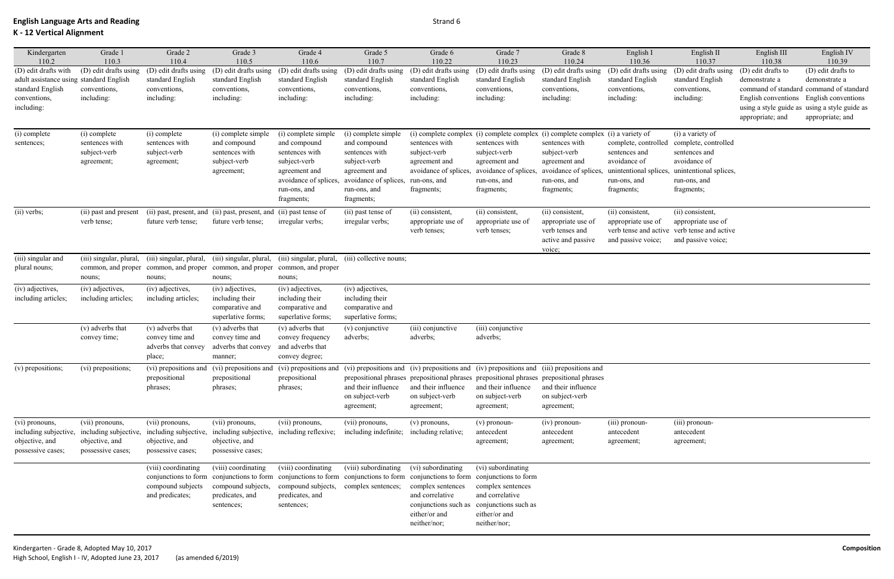| Kindergarten                            | Grade 1                 | Grade 2                                   | Grade 3                                                            | Grade 4                                                                             | Grade 5                                   | Grade 6                                   | Grade 7                                                                                                                                                                           | Grade 8                                                                         | English I                       | English II                                  | English III                         | English IV                                    |
|-----------------------------------------|-------------------------|-------------------------------------------|--------------------------------------------------------------------|-------------------------------------------------------------------------------------|-------------------------------------------|-------------------------------------------|-----------------------------------------------------------------------------------------------------------------------------------------------------------------------------------|---------------------------------------------------------------------------------|---------------------------------|---------------------------------------------|-------------------------------------|-----------------------------------------------|
| 110.2<br>(D) edit drafts with           | 110.3                   | 110.4                                     | 110.5                                                              | 110.6                                                                               | 110.7                                     | 110.22                                    | 110.23                                                                                                                                                                            | 110.24                                                                          | 110.36<br>(D) edit drafts using | 110.37                                      | 110.38                              | 110.39                                        |
| adult assistance using standard English | (D) edit drafts using   | (D) edit drafts using<br>standard English | (D) edit drafts using<br>standard English                          | (D) edit drafts using<br>standard English                                           | (D) edit drafts using<br>standard English | (D) edit drafts using<br>standard English | (D) edit drafts using<br>standard English                                                                                                                                         | (D) edit drafts using<br>standard English                                       | standard English                | (D) edit drafts using<br>standard English   | (D) edit drafts to<br>demonstrate a | (D) edit drafts to<br>demonstrate a           |
| standard English                        | conventions,            | conventions,                              | conventions,                                                       | conventions,                                                                        | conventions,                              | conventions,                              | conventions,                                                                                                                                                                      | conventions,                                                                    | conventions,                    | conventions,                                |                                     | command of standard command of standard       |
| conventions,                            | including:              | including:                                | including:                                                         | including:                                                                          | including:                                | including:                                | including:                                                                                                                                                                        | including:                                                                      | including:                      | including:                                  | English conventions                 | English conventions                           |
| including:                              |                         |                                           |                                                                    |                                                                                     |                                           |                                           |                                                                                                                                                                                   |                                                                                 |                                 |                                             |                                     | using a style guide as using a style guide as |
|                                         |                         |                                           |                                                                    |                                                                                     |                                           |                                           |                                                                                                                                                                                   |                                                                                 |                                 |                                             | appropriate; and                    | appropriate; and                              |
| (i) complete                            | (i) complete            | (i) complete                              | (i) complete simple                                                | (i) complete simple                                                                 | (i) complete simple                       |                                           |                                                                                                                                                                                   | (i) complete complex (i) complete complex (i) complete complex (i) a variety of |                                 | (i) a variety of                            |                                     |                                               |
| sentences;                              | sentences with          | sentences with                            | and compound                                                       | and compound                                                                        | and compound                              | sentences with                            | sentences with                                                                                                                                                                    | sentences with                                                                  | complete, controlled            | complete, controlled                        |                                     |                                               |
|                                         | subject-verb            | subject-verb                              | sentences with                                                     | sentences with                                                                      | sentences with                            | subject-verb                              | subject-verb                                                                                                                                                                      | subject-verb                                                                    | sentences and                   | sentences and                               |                                     |                                               |
|                                         | agreement;              | agreement;                                | subject-verb                                                       | subject-verb                                                                        | subject-verb                              | agreement and                             | agreement and                                                                                                                                                                     | agreement and                                                                   | avoidance of                    | avoidance of                                |                                     |                                               |
|                                         |                         |                                           | agreement;                                                         | agreement and                                                                       | agreement and                             | avoidance of splices,                     | avoidance of splices,                                                                                                                                                             | avoidance of splices,                                                           | unintentional splices,          | unintentional splices,                      |                                     |                                               |
|                                         |                         |                                           |                                                                    | avoidance of splices,                                                               | avoidance of splices,                     | run-ons, and                              | run-ons, and                                                                                                                                                                      | run-ons, and                                                                    | run-ons, and                    | run-ons, and                                |                                     |                                               |
|                                         |                         |                                           |                                                                    | run-ons, and                                                                        | run-ons, and                              | fragments;                                | fragments;                                                                                                                                                                        | fragments;                                                                      | fragments;                      | fragments;                                  |                                     |                                               |
|                                         |                         |                                           |                                                                    | fragments;                                                                          | fragments;                                |                                           |                                                                                                                                                                                   |                                                                                 |                                 |                                             |                                     |                                               |
| (ii) verbs;                             | (ii) past and present   |                                           | (ii) past, present, and (ii) past, present, and (ii) past tense of |                                                                                     | (ii) past tense of                        | (ii) consistent,                          | (ii) consistent,                                                                                                                                                                  | (ii) consistent,                                                                | (ii) consistent,                | (ii) consistent,                            |                                     |                                               |
|                                         | verb tense;             | future verb tense;                        | future verb tense;                                                 | irregular verbs;                                                                    | irregular verbs;                          | appropriate use of                        | appropriate use of                                                                                                                                                                | appropriate use of                                                              | appropriate use of              | appropriate use of                          |                                     |                                               |
|                                         |                         |                                           |                                                                    |                                                                                     |                                           | verb tenses;                              | verb tenses;                                                                                                                                                                      | verb tenses and                                                                 |                                 | verb tense and active verb tense and active |                                     |                                               |
|                                         |                         |                                           |                                                                    |                                                                                     |                                           |                                           |                                                                                                                                                                                   | active and passive<br>voice;                                                    | and passive voice;              | and passive voice;                          |                                     |                                               |
| (iii) singular and                      | (iii) singular, plural, | (iii) singular, plural,                   | (iii) singular, plural,                                            | (iii) singular, plural,                                                             | (iii) collective nouns;                   |                                           |                                                                                                                                                                                   |                                                                                 |                                 |                                             |                                     |                                               |
| plural nouns;                           | common, and proper      | common, and proper                        |                                                                    | common, and proper common, and proper                                               |                                           |                                           |                                                                                                                                                                                   |                                                                                 |                                 |                                             |                                     |                                               |
|                                         | nouns;                  | nouns;                                    | nouns;                                                             | nouns;                                                                              |                                           |                                           |                                                                                                                                                                                   |                                                                                 |                                 |                                             |                                     |                                               |
| (iv) adjectives,                        | (iv) adjectives,        | (iv) adjectives,                          | (iv) adjectives,                                                   | (iv) adjectives,                                                                    | (iv) adjectives,                          |                                           |                                                                                                                                                                                   |                                                                                 |                                 |                                             |                                     |                                               |
| including articles;                     | including articles;     | including articles;                       | including their                                                    | including their                                                                     | including their                           |                                           |                                                                                                                                                                                   |                                                                                 |                                 |                                             |                                     |                                               |
|                                         |                         |                                           | comparative and                                                    | comparative and                                                                     | comparative and                           |                                           |                                                                                                                                                                                   |                                                                                 |                                 |                                             |                                     |                                               |
|                                         |                         |                                           | superlative forms:                                                 | superlative forms;                                                                  | superlative forms;                        |                                           |                                                                                                                                                                                   |                                                                                 |                                 |                                             |                                     |                                               |
|                                         | (v) adverbs that        | (v) adverbs that<br>convey time and       | (v) adverbs that                                                   | (v) adverbs that                                                                    | $(v)$ conjunctive                         | (iii) conjunctive<br>adverbs;             | (iii) conjunctive<br>adverbs;                                                                                                                                                     |                                                                                 |                                 |                                             |                                     |                                               |
|                                         | convey time;            | adverbs that convey                       | convey time and<br>adverbs that convey                             | convey frequency<br>and adverbs that                                                | adverbs;                                  |                                           |                                                                                                                                                                                   |                                                                                 |                                 |                                             |                                     |                                               |
|                                         |                         | place;                                    | manner;                                                            | convey degree;                                                                      |                                           |                                           |                                                                                                                                                                                   |                                                                                 |                                 |                                             |                                     |                                               |
| (v) prepositions;                       | (vi) prepositions;      |                                           |                                                                    |                                                                                     |                                           |                                           | (vi) prepositions and (vi) prepositions and (vi) prepositions and (vi) prepositions and (iv) prepositions and (iv) prepositions and (iii) prepositions and (iii) prepositions and |                                                                                 |                                 |                                             |                                     |                                               |
|                                         |                         | prepositional                             | prepositional                                                      | prepositional                                                                       |                                           |                                           | prepositional phrases prepositional phrases prepositional phrases prepositional phrases                                                                                           |                                                                                 |                                 |                                             |                                     |                                               |
|                                         |                         | phrases;                                  | phrases;                                                           | phrases;                                                                            | and their influence                       | and their influence                       | and their influence                                                                                                                                                               | and their influence                                                             |                                 |                                             |                                     |                                               |
|                                         |                         |                                           |                                                                    |                                                                                     | on subject-verb                           | on subject-verb                           | on subject-verb                                                                                                                                                                   | on subject-verb                                                                 |                                 |                                             |                                     |                                               |
|                                         |                         |                                           |                                                                    |                                                                                     | agreement;                                | agreement;                                | agreement;                                                                                                                                                                        | agreement;                                                                      |                                 |                                             |                                     |                                               |
| (vi) pronouns,                          | (vii) pronouns,         | (vii) pronouns,                           | (vii) pronouns,                                                    | (vii) pronouns,                                                                     | (vii) pronouns,                           | (v) pronouns,                             | (v) pronoun-                                                                                                                                                                      | $(iv)$ pronoun-                                                                 | $(iii)$ pronoun-                | (iii) pronoun-                              |                                     |                                               |
| including subjective,                   | including subjective,   | including subjective,                     | including subjective, including reflexive;                         |                                                                                     | including indefinite;                     | including relative;                       | antecedent                                                                                                                                                                        | antecedent                                                                      | antecedent                      | antecedent                                  |                                     |                                               |
| objective, and                          | objective, and          | objective, and                            | objective, and                                                     |                                                                                     |                                           |                                           | agreement;                                                                                                                                                                        | agreement;                                                                      | agreement;                      | agreement;                                  |                                     |                                               |
| possessive cases;                       | possessive cases;       | possessive cases;                         | possessive cases;                                                  |                                                                                     |                                           |                                           |                                                                                                                                                                                   |                                                                                 |                                 |                                             |                                     |                                               |
|                                         |                         | (viii) coordinating                       | (viii) coordinating                                                | (viii) coordinating                                                                 | (viii) subordinating                      | (vi) subordinating                        | (vi) subordinating                                                                                                                                                                |                                                                                 |                                 |                                             |                                     |                                               |
|                                         |                         |                                           |                                                                    | conjunctions to form conjunctions to form conjunctions to form conjunctions to form |                                           |                                           | conjunctions to form conjunctions to form                                                                                                                                         |                                                                                 |                                 |                                             |                                     |                                               |
|                                         |                         | compound subjects                         | compound subjects,                                                 | compound subjects,                                                                  | complex sentences;                        | complex sentences                         | complex sentences                                                                                                                                                                 |                                                                                 |                                 |                                             |                                     |                                               |
|                                         |                         | and predicates;                           | predicates, and                                                    | predicates, and                                                                     |                                           | and correlative                           | and correlative                                                                                                                                                                   |                                                                                 |                                 |                                             |                                     |                                               |
|                                         |                         |                                           | sentences;                                                         | sentences;                                                                          |                                           | conjunctions such as                      | conjunctions such as                                                                                                                                                              |                                                                                 |                                 |                                             |                                     |                                               |
|                                         |                         |                                           |                                                                    |                                                                                     |                                           | either/or and<br>neither/nor;             | either/or and<br>neither/nor;                                                                                                                                                     |                                                                                 |                                 |                                             |                                     |                                               |
|                                         |                         |                                           |                                                                    |                                                                                     |                                           |                                           |                                                                                                                                                                                   |                                                                                 |                                 |                                             |                                     |                                               |
|                                         |                         |                                           |                                                                    |                                                                                     |                                           |                                           |                                                                                                                                                                                   |                                                                                 |                                 |                                             |                                     |                                               |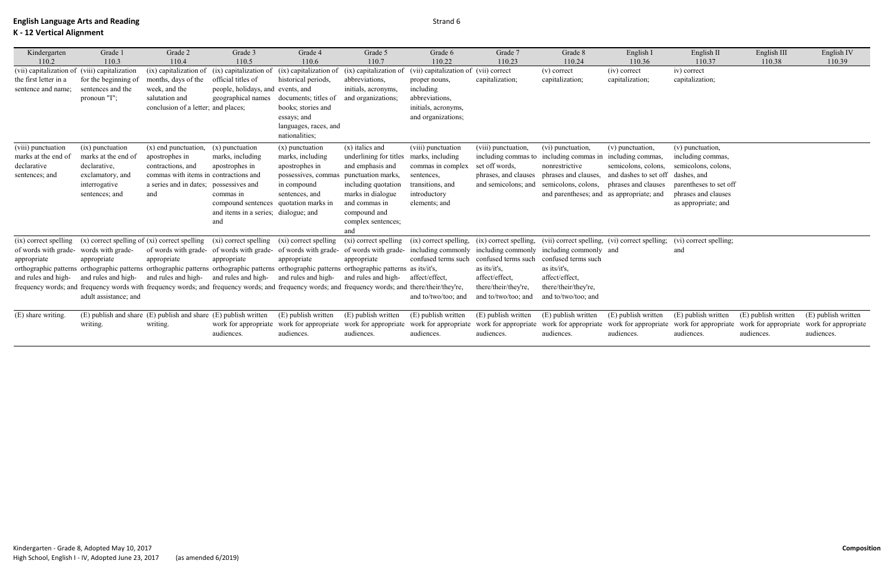| Kindergarten<br>110.2                                                        | Grade 1<br>110.3                                                                                                                         | Grade 2<br>110.4                                                                                                                                        | Grade 3<br>110.5                                                                                                                                             | Grade 4<br>110.6                                                                                                                                                                                                                                                                                                                                                                                                                                                             | Grade 5<br>110.7                                                                                                                                                                                | Grade 6<br>110.22                                                                                                                                            | Grade 7<br>110.23                                                                                           | Grade 8<br>110.24                                                                                                                                                       | English I<br>110.36                                                                     | English II<br>110.37                                                                                                                                                                                                                                                | English III<br>110.38             | English IV<br>110.39              |
|------------------------------------------------------------------------------|------------------------------------------------------------------------------------------------------------------------------------------|---------------------------------------------------------------------------------------------------------------------------------------------------------|--------------------------------------------------------------------------------------------------------------------------------------------------------------|------------------------------------------------------------------------------------------------------------------------------------------------------------------------------------------------------------------------------------------------------------------------------------------------------------------------------------------------------------------------------------------------------------------------------------------------------------------------------|-------------------------------------------------------------------------------------------------------------------------------------------------------------------------------------------------|--------------------------------------------------------------------------------------------------------------------------------------------------------------|-------------------------------------------------------------------------------------------------------------|-------------------------------------------------------------------------------------------------------------------------------------------------------------------------|-----------------------------------------------------------------------------------------|---------------------------------------------------------------------------------------------------------------------------------------------------------------------------------------------------------------------------------------------------------------------|-----------------------------------|-----------------------------------|
| (vii) capitalization of<br>the first letter in a<br>sentence and name;       | (viii) capitalization<br>for the beginning of<br>sentences and the<br>pronoun "I";                                                       | (ix) capitalization of<br>months, days of the<br>week, and the<br>salutation and<br>conclusion of a letter; and places;                                 | (ix) capitalization of<br>official titles of<br>people, holidays, and events, and<br>geographical names                                                      | (ix) capitalization of<br>historical periods,<br>documents; titles of<br>books; stories and<br>essays; and<br>languages, races, and<br>nationalities;                                                                                                                                                                                                                                                                                                                        | (ix) capitalization of<br>abbreviations,<br>initials, acronyms,<br>and organizations;                                                                                                           | (vii) capitalization of (vii) correct<br>proper nouns,<br>including<br>abbreviations,<br>initials, acronyms,<br>and organizations;                           | capitalization;                                                                                             | $(v)$ correct<br>capitalization;                                                                                                                                        | (iv) correct<br>capitalization;                                                         | iv) correct<br>capitalization;                                                                                                                                                                                                                                      |                                   |                                   |
| (viii) punctuation<br>marks at the end of<br>declarative<br>sentences; and   | (ix) punctuation<br>marks at the end of<br>declarative,<br>exclamatory, and<br>interrogative<br>sentences; and                           | $(x)$ end punctuation,<br>apostrophes in<br>contractions, and<br>commas with items in contractions and<br>a series and in dates; possessives and<br>and | $(x)$ punctuation<br>marks, including<br>apostrophes in<br>commas in<br>compound sentences quotation marks in<br>and items in a series; dialogue; and<br>and | $(x)$ punctuation<br>marks, including<br>apostrophes in<br>possessives, comma<br>in compound<br>sentences, and                                                                                                                                                                                                                                                                                                                                                               | $(x)$ italics and<br>underlining for titles<br>and emphasis and<br>punctuation marks,<br>including quotation<br>marks in dialogue<br>and commas in<br>compound and<br>complex sentences;<br>and | (viii) punctuation<br>marks, including<br>commas in complex<br>sentences,<br>transitions, and<br>introductory<br>elements; and                               | (viii) punctuation,<br>including commas to<br>set off words,<br>phrases, and clauses<br>and semicolons; and | (vi) punctuation,<br>including commas in including commas,<br>nonrestrictive<br>phrases and clauses,<br>semicolons, colons,<br>and parentheses; and as appropriate; and | (v) punctuation,<br>semicolons, colons,<br>and dashes to set off<br>phrases and clauses | (v) punctuation,<br>including commas,<br>semicolons, colons,<br>dashes, and<br>parentheses to set off<br>phrases and clauses<br>as appropriate; and                                                                                                                 |                                   |                                   |
| of words with grade- words with grade-<br>appropriate<br>and rules and high- | $(ix)$ correct spelling $(x)$ correct spelling of $(xi)$ correct spelling<br>appropriate<br>and rules and high-<br>adult assistance; and | appropriate<br>and rules and high- and rules and high- and rules and high-                                                                              | (xi) correct spelling<br>appropriate                                                                                                                         | (xi) correct spelling<br>of words with grade- of words with grade- of words with grade- of words with grade- including commonly including commonly including commonly and<br>appropriate<br>orthographic patterns orthographic patterns orthographic patterns orthographic patterns orthographic patterns as its/it's,<br>frequency words; and frequency words with frequency words; and frequency words; and frequency words; and frequency words; and there/their/they're, | (xi) correct spelling<br>appropriate<br>and rules and high-                                                                                                                                     | (ix) correct spelling, (ix) correct spelling, (vii) correct spelling, (vi) correct spelling;<br>confused terms such<br>affect/effect,<br>and to/two/too; and | confused terms such<br>as its/it's,<br>affect/effect,<br>there/their/they're,<br>and to/two/too; and        | confused terms such<br>as its/it's,<br>affect/effect,<br>there/their/they're,<br>and to/two/too; and                                                                    |                                                                                         | (vi) correct spelling;<br>and                                                                                                                                                                                                                                       |                                   |                                   |
| (E) share writing.                                                           | writing.                                                                                                                                 | (E) publish and share (E) publish and share (E) publish written<br>writing.                                                                             | audiences.                                                                                                                                                   | (E) publish written<br>audiences.                                                                                                                                                                                                                                                                                                                                                                                                                                            | (E) publish written<br>audiences.                                                                                                                                                               | (E) publish written<br>audiences.                                                                                                                            | (E) publish written<br>audiences.                                                                           | (E) publish written<br>audiences.                                                                                                                                       | (E) publish written<br>audiences.                                                       | (E) publish written<br>work for appropriate work for appropriate work for appropriate work for appropriate work for appropriate work for appropriate work for appropriate work for appropriate work for appropriate work for appropriate work for app<br>audiences. | (E) publish written<br>audiences. | (E) publish written<br>audiences. |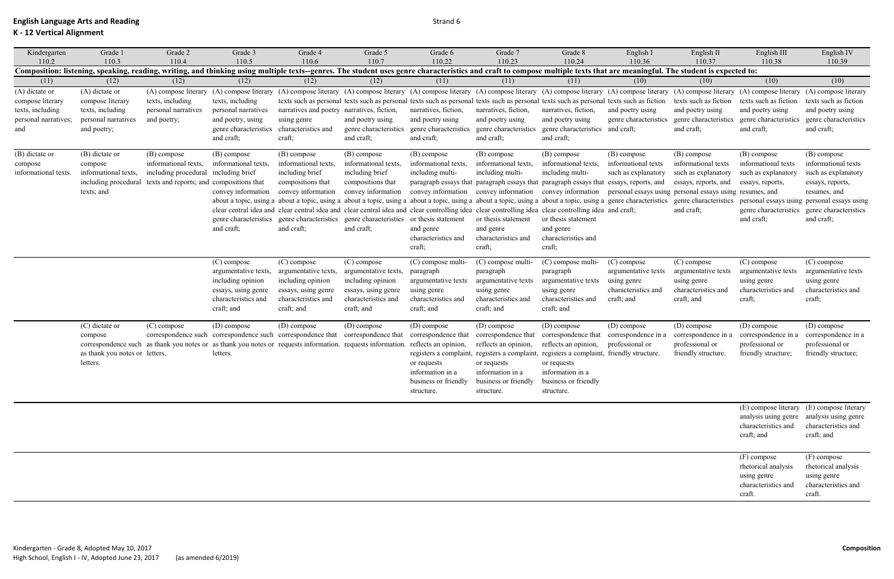## **K - 12 Vertical Alignment**

| Kindergarten                                                                          | Grade 1                                                                                      | Grade 2                                                                                                                                                                                                                             | Grade 3                                                                                                                     | Grade 4                                                                                                              | Grade 5                                                                                                                                                                                                                                                                                                                                                                                                                                                                                                                                                   | Grade 6                                                                                                     | Grade 7                                                                                                                                                  | Grade 8                                                                                                                                                                                                                                                                                                                                     | English I                                                                              | English II                                                                                      | English III                                                                                 | English IV                                                                                                                                                                                                |
|---------------------------------------------------------------------------------------|----------------------------------------------------------------------------------------------|-------------------------------------------------------------------------------------------------------------------------------------------------------------------------------------------------------------------------------------|-----------------------------------------------------------------------------------------------------------------------------|----------------------------------------------------------------------------------------------------------------------|-----------------------------------------------------------------------------------------------------------------------------------------------------------------------------------------------------------------------------------------------------------------------------------------------------------------------------------------------------------------------------------------------------------------------------------------------------------------------------------------------------------------------------------------------------------|-------------------------------------------------------------------------------------------------------------|----------------------------------------------------------------------------------------------------------------------------------------------------------|---------------------------------------------------------------------------------------------------------------------------------------------------------------------------------------------------------------------------------------------------------------------------------------------------------------------------------------------|----------------------------------------------------------------------------------------|-------------------------------------------------------------------------------------------------|---------------------------------------------------------------------------------------------|-----------------------------------------------------------------------------------------------------------------------------------------------------------------------------------------------------------|
| 110.2                                                                                 | 110.3                                                                                        | 110.4<br>Composition: listening, speaking, reading, writing, and thinking using multiple texts--genres. The student uses genre characteristics and craft to compose multiple texts that are meaningful. The student is expected to: | 110.5                                                                                                                       | 110.6                                                                                                                | 110.7                                                                                                                                                                                                                                                                                                                                                                                                                                                                                                                                                     | 110.22                                                                                                      | 110.23                                                                                                                                                   | 110.24                                                                                                                                                                                                                                                                                                                                      | 110.36                                                                                 | 110.37                                                                                          | 110.38                                                                                      | 110.39                                                                                                                                                                                                    |
| (11)                                                                                  | (12)                                                                                         | (12)                                                                                                                                                                                                                                | (12)                                                                                                                        | (12)                                                                                                                 | (12)                                                                                                                                                                                                                                                                                                                                                                                                                                                                                                                                                      | (11)                                                                                                        | (11)                                                                                                                                                     | (11)                                                                                                                                                                                                                                                                                                                                        | (10)                                                                                   | (10)                                                                                            | (10)                                                                                        | (10)                                                                                                                                                                                                      |
| (A) dictate or<br>compose literary<br>texts, including<br>personal narratives;<br>and | (A) dictate or<br>compose literary<br>texts, including<br>personal narratives<br>and poetry; | (A) compose literary<br>texts, including<br>personal narratives<br>and poetry;                                                                                                                                                      | (A) compose literary<br>texts, including<br>personal narratives<br>and poetry, using<br>genre characteristics<br>and craft; | narratives and poetry narratives, fiction,<br>using genre<br>characteristics and<br>craft;                           | (A) compose literary (A) compose literary (A) compose literary (A) compose literary (A) compose literary (A) compose literary (A) compose literary (A) compose literary (A) compose literary (A) compose literary (A) compose<br>texts such as personal texts such as personal texts such as personal texts such as personal texts such as personal texts such as fiction<br>and poetry using<br>genre characteristics<br>and craft;                                                                                                                      | narratives, fiction,<br>and poetry using<br>genre characteristics<br>and craft;                             | narratives, fiction,<br>and poetry using<br>genre characteristics<br>and craft;                                                                          | narratives, fiction,<br>and poetry using<br>genre characteristics and craft;<br>and craft;                                                                                                                                                                                                                                                  | and poetry using<br>genre characteristics                                              | texts such as fiction<br>and poetry using<br>genre characteristics<br>and craft;                | texts such as fiction<br>and poetry using<br>genre characteristics<br>and craft;            | texts such as fiction<br>and poetry using<br>genre characteristics<br>and craft;                                                                                                                          |
| (B) dictate or<br>compose<br>informational texts.                                     | (B) dictate or<br>compose<br>informational texts,<br>including procedural<br>texts; and      | (B) compose<br>informational texts,<br>including procedural including brief<br>texts and reports; and compositions that                                                                                                             | (B) compose<br>informational texts,<br>convey information<br>and craft;                                                     | (B) compose<br>informational texts,<br>including brief<br>compositions that<br>convey information<br>and craft;      | (B) compose<br>informational texts,<br>including brief<br>compositions that<br>convey information<br>about a topic, using a about a topic, using a about a topic, using a about a topic, using a about a topic, using a about a topic, using a genre characteristics genre characteristics<br>clear central idea and clear central idea and clear central idea and clear controlling idea clear controlling idea clear controlling idea and craft;<br>genre characteristics genre characteristics genre characteristics or thesis statement<br>and craft; | (B) compose<br>informational texts,<br>including multi-<br>and genre<br>characteristics and<br>craft;       | (B) compose<br>informational texts,<br>including multi-<br>or thesis statement<br>and genre<br>characteristics and<br>craft;                             | (B) compose<br>informational texts,<br>including multi-<br>paragraph essays that paragraph essays that paragraph essays that essays, reports, and<br>convey information convey information convey information personal essays using personal essays using resumes, and<br>or thesis statement<br>and genre<br>characteristics and<br>craft; | (B) compose<br>informational texts<br>such as explanatory                              | (B) compose<br>informational texts<br>such as explanatory<br>essays, reports, and<br>and craft; | (B) compose<br>informational texts<br>such as explanatory<br>essays, reports,<br>and craft; | (B) compose<br>informational texts<br>such as explanatory<br>essays, reports,<br>resumes, and<br>personal essays using personal essays using<br>genre characteristics genre characteristics<br>and craft; |
|                                                                                       |                                                                                              |                                                                                                                                                                                                                                     | (C) compose<br>argumentative texts,<br>including opinion<br>essays, using genre<br>characteristics and<br>craft; and        | (C) compose<br>argumentative texts,<br>including opinion<br>essays, using genre<br>characteristics and<br>craft; and | (C) compose<br>argumentative texts,<br>including opinion<br>essays, using genre<br>characteristics and<br>craft; and                                                                                                                                                                                                                                                                                                                                                                                                                                      | (C) compose multi-<br>paragraph<br>argumentative texts<br>using genre<br>characteristics and<br>craft; and  | (C) compose multi-<br>paragraph<br>argumentative texts<br>using genre<br>characteristics and<br>craft; and                                               | (C) compose multi-<br>paragraph<br>argumentative texts<br>using genre<br>characteristics and<br>craft; and                                                                                                                                                                                                                                  | (C) compose<br>argumentative texts<br>using genre<br>characteristics and<br>craft; and | (C) compose<br>argumentative texts<br>using genre<br>characteristics and<br>craft; and          | (C) compose<br>argumentative texts<br>using genre<br>characteristics and<br>craft;          | (C) compose<br>argumentative texts<br>using genre<br>characteristics and<br>craft;                                                                                                                        |
|                                                                                       | (C) dictate or<br>compose<br>as thank you notes or letters.<br>letters.                      | (C) compose<br>correspondence such as thank you notes or as thank you notes or requests information. requests information. reflects an opinion,                                                                                     | (D) compose<br>correspondence such correspondence such correspondence that correspondence that<br>letters.                  | (D) compose                                                                                                          | (D) compose                                                                                                                                                                                                                                                                                                                                                                                                                                                                                                                                               | (D) compose<br>correspondence that<br>or requests<br>information in a<br>business or friendly<br>structure. | (D) compose<br>correspondence that<br>reflects an opinion,<br>or requests<br>information in a<br>business or friendly business or friendly<br>structure. | (D) compose<br>correspondence that<br>reflects an opinion,<br>registers a complaint, registers a complaint, registers a complaint, friendly structure.<br>or requests<br>information in a<br>structure.                                                                                                                                     | (D) compose<br>correspondence in a<br>professional or                                  | (D) compose<br>correspondence in a<br>professional or<br>friendly structure.                    | (D) compose<br>correspondence in a<br>professional or<br>friendly structure;                | (D) compose<br>correspondence in a<br>professional or<br>friendly structure;                                                                                                                              |
|                                                                                       |                                                                                              |                                                                                                                                                                                                                                     |                                                                                                                             |                                                                                                                      |                                                                                                                                                                                                                                                                                                                                                                                                                                                                                                                                                           |                                                                                                             |                                                                                                                                                          |                                                                                                                                                                                                                                                                                                                                             |                                                                                        |                                                                                                 | analysis using genre analysis using genre<br>characteristics and<br>craft; and              | (E) compose literary (E) compose literary<br>characteristics and<br>craft; and                                                                                                                            |
|                                                                                       |                                                                                              |                                                                                                                                                                                                                                     |                                                                                                                             |                                                                                                                      |                                                                                                                                                                                                                                                                                                                                                                                                                                                                                                                                                           |                                                                                                             |                                                                                                                                                          |                                                                                                                                                                                                                                                                                                                                             |                                                                                        |                                                                                                 | (F) compose<br>rhetorical analysis<br>using genre<br>characteristics and<br>craft.          | (F) compose<br>rhetorical analysis<br>using genre<br>characteristics and<br>craft.                                                                                                                        |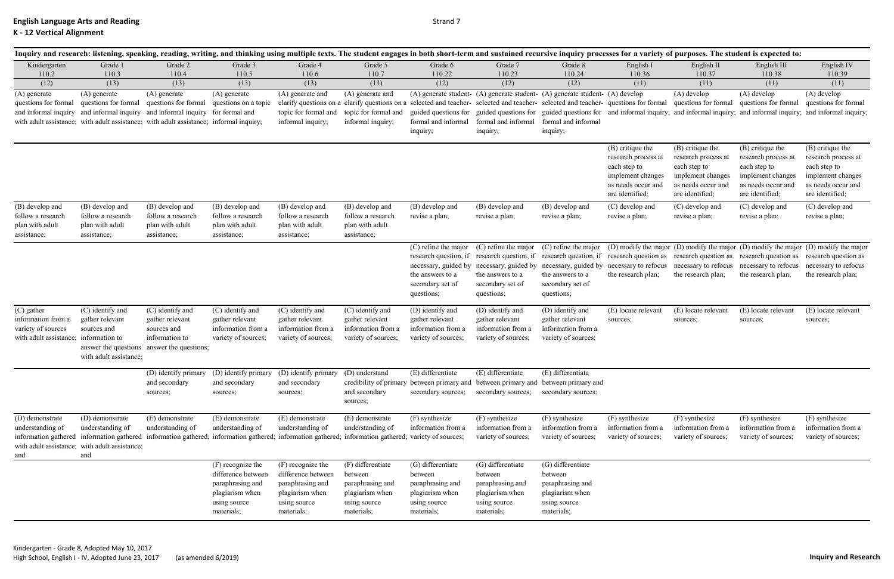|                                                                                                 |                                                                                                                                                                                                  |                                                                                                                    |                                                                                                              |                                                                                                                | Inquiry and research: listening, speaking, reading, writing, and thinking using multiple texts. The student engages in both short-term and sustained recursive inquiry processes for a variety of purposes. The student is exp |                                                                                                       |                                                                                                                               |                                                                                                                                                                                                                                                                                                                                                 |                                                                                                                       |                                                                                                                       |                                                                                                                       |                                                                                                                                   |
|-------------------------------------------------------------------------------------------------|--------------------------------------------------------------------------------------------------------------------------------------------------------------------------------------------------|--------------------------------------------------------------------------------------------------------------------|--------------------------------------------------------------------------------------------------------------|----------------------------------------------------------------------------------------------------------------|--------------------------------------------------------------------------------------------------------------------------------------------------------------------------------------------------------------------------------|-------------------------------------------------------------------------------------------------------|-------------------------------------------------------------------------------------------------------------------------------|-------------------------------------------------------------------------------------------------------------------------------------------------------------------------------------------------------------------------------------------------------------------------------------------------------------------------------------------------|-----------------------------------------------------------------------------------------------------------------------|-----------------------------------------------------------------------------------------------------------------------|-----------------------------------------------------------------------------------------------------------------------|-----------------------------------------------------------------------------------------------------------------------------------|
| Kindergarten<br>110.2<br>(12)                                                                   | Grade 1<br>110.3<br>(13)                                                                                                                                                                         | Grade 2<br>110.4<br>(13)                                                                                           | Grade 3<br>110.5<br>(13)                                                                                     | Grade 4<br>110.6<br>(13)                                                                                       | Grade 5<br>110.7<br>(13)                                                                                                                                                                                                       | Grade 6<br>110.22<br>(12)                                                                             | Grade 7<br>110.23<br>(12)                                                                                                     | Grade 8<br>110.24<br>(12)                                                                                                                                                                                                                                                                                                                       | English I<br>110.36<br>(11)                                                                                           | English II<br>110.37<br>(11)                                                                                          | English III<br>110.38<br>(11)                                                                                         | English IV<br>110.39<br>(11)                                                                                                      |
| (A) generate<br>questions for formal                                                            | (A) generate<br>questions for formal<br>and informal inquiry and informal inquiry and informal inquiry<br>with adult assistance; with adult assistance; with adult assistance; informal inquiry; | (A) generate<br>questions for formal                                                                               | (A) generate<br>questions on a topic<br>for formal and                                                       | (A) generate and<br>clarify questions on<br>topic for formal and<br>informal inquiry;                          | (A) generate and<br>a clarify questions on a<br>topic for formal and<br>informal inquiry;                                                                                                                                      | guided questions for<br>formal and informal<br>inquiry;                                               | formal and informal<br>inquiry;                                                                                               | (A) generate student- (A) generate student- (A) generate student- (A) develop<br>selected and teacher- selected and teacher- selected and teacher- questions for formal<br>guided questions for guided questions for and informal inquiry; and informal inquiry; and informal inquiry; and informal inquiry;<br>formal and informal<br>inquiry; |                                                                                                                       | $(A)$ develop<br>questions for formal                                                                                 | $(A)$ develop<br>questions for formal                                                                                 | (A) develop<br>questions for formal                                                                                               |
|                                                                                                 |                                                                                                                                                                                                  |                                                                                                                    |                                                                                                              |                                                                                                                |                                                                                                                                                                                                                                |                                                                                                       |                                                                                                                               |                                                                                                                                                                                                                                                                                                                                                 | (B) critique the<br>research process at<br>each step to<br>implement changes<br>as needs occur and<br>are identified; | (B) critique the<br>research process at<br>each step to<br>implement changes<br>as needs occur and<br>are identified; | (B) critique the<br>research process at<br>each step to<br>implement changes<br>as needs occur and<br>are identified; | $(B)$ critique the<br>research process at<br>each step to<br>implement changes<br>as needs occur and<br>are identified;           |
| (B) develop and<br>follow a research<br>plan with adult<br>assistance;                          | (B) develop and<br>follow a research<br>plan with adult<br>assistance;                                                                                                                           | (B) develop and<br>follow a research<br>plan with adult<br>assistance;                                             | (B) develop and<br>follow a research<br>plan with adult<br>assistance;                                       | (B) develop and<br>follow a research<br>plan with adult<br>assistance;                                         | (B) develop and<br>follow a research<br>plan with adult<br>assistance;                                                                                                                                                         | (B) develop and<br>revise a plan;                                                                     | (B) develop and<br>revise a plan;                                                                                             | (B) develop and<br>revise a plan;                                                                                                                                                                                                                                                                                                               | (C) develop and<br>revise a plan;                                                                                     | (C) develop and<br>revise a plan;                                                                                     | (C) develop and<br>revise a plan;                                                                                     | (C) develop and<br>revise a plan;                                                                                                 |
|                                                                                                 |                                                                                                                                                                                                  |                                                                                                                    |                                                                                                              |                                                                                                                |                                                                                                                                                                                                                                | $(C)$ refine the major<br>research question, if<br>the answers to a<br>secondary set of<br>questions; | (C) refine the major<br>the answers to a<br>secondary set of<br>questions;                                                    | $(C)$ refine the major<br>research question, if research question, if research question as research question as<br>necessary, guided by necessary, guided by necessary, guided by necessary to refocus<br>the answers to a<br>secondary set of<br>questions;                                                                                    | the research plan;                                                                                                    | necessary to refocus<br>the research plan;                                                                            | research question as research question as<br>necessary to refocus<br>the research plan;                               | (D) modify the major (D) modify the major (D) modify the major (D) modify the major<br>necessary to refocus<br>the research plan; |
| (C) gather<br>information from a<br>variety of sources<br>with adult assistance; information to | (C) identify and<br>gather relevant<br>sources and<br>with adult assistance;                                                                                                                     | (C) identify and<br>gather relevant<br>sources and<br>information to<br>answer the questions answer the questions; | (C) identify and<br>gather relevant<br>information from a<br>variety of sources;                             | (C) identify and<br>gather relevant<br>information from a<br>variety of sources;                               | (C) identify and<br>gather relevant<br>information from a<br>variety of sources;                                                                                                                                               | (D) identify and<br>gather relevant<br>information from a<br>variety of sources;                      | (D) identify and<br>gather relevant<br>information from a<br>variety of sources;                                              | (D) identify and<br>gather relevant<br>information from a<br>variety of sources;                                                                                                                                                                                                                                                                | (E) locate relevant<br>sources;                                                                                       | (E) locate relevant<br>sources;                                                                                       | (E) locate relevan<br>sources;                                                                                        | (E) locate relevant<br>sources;                                                                                                   |
|                                                                                                 |                                                                                                                                                                                                  | (D) identify primary (D) identify primary (D) identify primary (D) understand<br>and secondary<br>sources;         | and secondary<br>sources;                                                                                    | and secondary<br>sources;                                                                                      | and secondary<br>sources;                                                                                                                                                                                                      | (E) differentiate<br>secondary sources;                                                               | (E) differentiate<br>credibility of primary between primary and between primary and between primary and<br>secondary sources; | (E) differentiate<br>secondary sources;                                                                                                                                                                                                                                                                                                         |                                                                                                                       |                                                                                                                       |                                                                                                                       |                                                                                                                                   |
| (D) demonstrate<br>understanding of<br>and                                                      | (D) demonstrate<br>understanding of<br>information gathered information gathered<br>with adult assistance; with adult assistance;<br>and                                                         | (E) demonstrate<br>understanding of                                                                                | (E) demonstrate<br>understanding of                                                                          | (E) demonstrate<br>understanding of                                                                            | (E) demonstrate<br>understanding of<br>information gathered; information gathered; information gathered; information gathered; variety of sources;                                                                             | (F) synthesize<br>information from a                                                                  | (F) synthesize<br>information from a<br>variety of sources;                                                                   | (F) synthesize<br>information from a<br>variety of sources;                                                                                                                                                                                                                                                                                     | (F) synthesize<br>information from a<br>variety of sources;                                                           | (F) synthesize<br>information from a<br>variety of sources;                                                           | (F) synthesize<br>information from a<br>variety of sources;                                                           | (F) synthesize<br>information from a<br>variety of sources;                                                                       |
|                                                                                                 |                                                                                                                                                                                                  |                                                                                                                    | (F) recognize the<br>difference between<br>paraphrasing and<br>plagiarism when<br>using source<br>materials; | $(F)$ recognize the<br>difference between<br>paraphrasing and<br>plagiarism when<br>using source<br>materials; | (F) differentiate<br>between<br>paraphrasing and<br>plagiarism when<br>using source<br>materials;                                                                                                                              | (G) differentiate<br>between<br>paraphrasing and<br>plagiarism when<br>using source<br>materials;     | (G) differentiate<br>between<br>paraphrasing and<br>plagiarism when<br>using source<br>materials;                             | (G) differentiate<br>between<br>paraphrasing and<br>plagiarism when<br>using source<br>materials;                                                                                                                                                                                                                                               |                                                                                                                       |                                                                                                                       |                                                                                                                       |                                                                                                                                   |